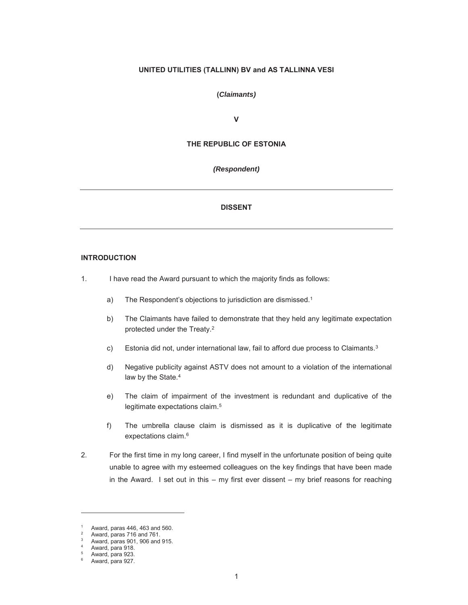### **UNITED UTILITIES (TALLINN) BV and AS TALLINNA VESI**

#### **(***Claimants)*

**V**

# **THE REPUBLIC OF ESTONIA**

#### *(Respondent)*

# **DISSENT**

### **INTRODUCTION**

- 1. I have read the Award pursuant to which the majority finds as follows:
	- a) The Respondent's objections to jurisdiction are dismissed.<sup>1</sup>
	- b) The Claimants have failed to demonstrate that they held any legitimate expectation protected under the Treaty.2
	- c) Estonia did not, under international law, fail to afford due process to Claimants.3
	- d) Negative publicity against ASTV does not amount to a violation of the international law by the State.<sup>4</sup>
	- e) The claim of impairment of the investment is redundant and duplicative of the legitimate expectations claim.<sup>5</sup>
	- f) The umbrella clause claim is dismissed as it is duplicative of the legitimate expectations claim.<sup>6</sup>
- 2. For the first time in my long career, I find myself in the unfortunate position of being quite unable to agree with my esteemed colleagues on the key findings that have been made in the Award. I set out in this  $-$  my first ever dissent  $-$  my brief reasons for reaching

Award, paras 446, 463 and 560.

<sup>&</sup>lt;sup>2</sup> Award, paras 716 and 761.

<sup>3</sup> Award, paras 901, 906 and 915.

Award, para 918.

 $5$  Award, para 923. Award, para 927.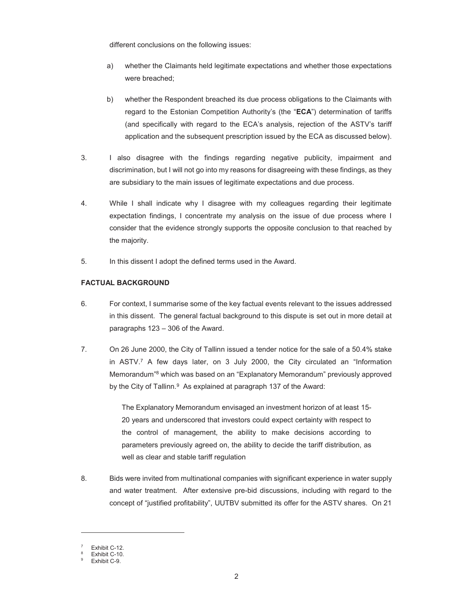different conclusions on the following issues:

- a) whether the Claimants held legitimate expectations and whether those expectations were breached;
- b) whether the Respondent breached its due process obligations to the Claimants with regard to the Estonian Competition Authority's (the "**ECA**") determination of tariffs (and specifically with regard to the ECA's analysis, rejection of the ASTV's tariff application and the subsequent prescription issued by the ECA as discussed below).
- 3. I also disagree with the findings regarding negative publicity, impairment and discrimination, but I will not go into my reasons for disagreeing with these findings, as they are subsidiary to the main issues of legitimate expectations and due process.
- 4. While I shall indicate why I disagree with my colleagues regarding their legitimate expectation findings, I concentrate my analysis on the issue of due process where I consider that the evidence strongly supports the opposite conclusion to that reached by the majority.
- 5. In this dissent I adopt the defined terms used in the Award.

# **FACTUAL BACKGROUND**

- 6. For context, I summarise some of the key factual events relevant to the issues addressed in this dissent. The general factual background to this dispute is set out in more detail at paragraphs 123 – 306 of the Award.
- 7. On 26 June 2000, the City of Tallinn issued a tender notice for the sale of a 50.4% stake in ASTV.7 A few days later, on 3 July 2000, the City circulated an "Information Memorandum"8 which was based on an "Explanatory Memorandum" previously approved by the City of Tallinn.<sup>9</sup> As explained at paragraph 137 of the Award:

The Explanatory Memorandum envisaged an investment horizon of at least 15- 20 years and underscored that investors could expect certainty with respect to the control of management, the ability to make decisions according to parameters previously agreed on, the ability to decide the tariff distribution, as well as clear and stable tariff regulation

8. Bids were invited from multinational companies with significant experience in water supply and water treatment. After extensive pre-bid discussions, including with regard to the concept of "justified profitability", UUTBV submitted its offer for the ASTV shares. On 21

<sup>7</sup> Exhibit C-12.

<sup>8</sup> Exhibit C-10.

<sup>9</sup> Exhibit C-9.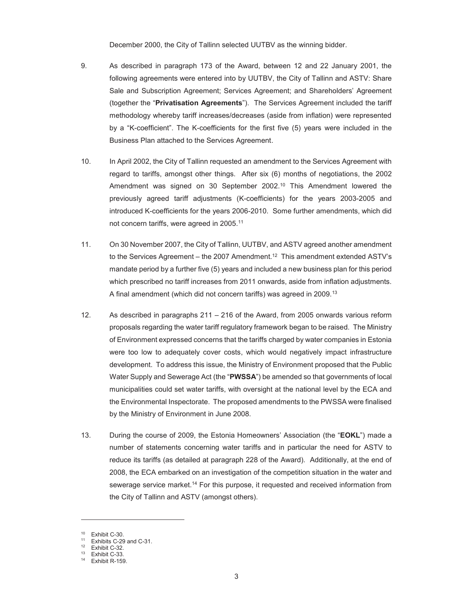December 2000, the City of Tallinn selected UUTBV as the winning bidder.

- 9. As described in paragraph 173 of the Award, between 12 and 22 January 2001, the following agreements were entered into by UUTBV, the City of Tallinn and ASTV: Share Sale and Subscription Agreement; Services Agreement; and Shareholders' Agreement (together the "**Privatisation Agreements**"). The Services Agreement included the tariff methodology whereby tariff increases/decreases (aside from inflation) were represented by a "K-coefficient". The K-coefficients for the first five (5) years were included in the Business Plan attached to the Services Agreement.
- 10. In April 2002, the City of Tallinn requested an amendment to the Services Agreement with regard to tariffs, amongst other things. After six (6) months of negotiations, the 2002 Amendment was signed on 30 September 2002.10 This Amendment lowered the previously agreed tariff adjustments (K-coefficients) for the years 2003-2005 and introduced K-coefficients for the years 2006-2010. Some further amendments, which did not concern tariffs, were agreed in 2005.11
- 11. On 30 November 2007, the City of Tallinn, UUTBV, and ASTV agreed another amendment to the Services Agreement – the 2007 Amendment.<sup>12</sup> This amendment extended ASTV's mandate period by a further five (5) years and included a new business plan for this period which prescribed no tariff increases from 2011 onwards, aside from inflation adjustments. A final amendment (which did not concern tariffs) was agreed in 2009.13
- 12. As described in paragraphs 211 216 of the Award, from 2005 onwards various reform proposals regarding the water tariff regulatory framework began to be raised. The Ministry of Environment expressed concerns that the tariffs charged by water companies in Estonia were too low to adequately cover costs, which would negatively impact infrastructure development. To address this issue, the Ministry of Environment proposed that the Public Water Supply and Sewerage Act (the "**PWSSA**") be amended so that governments of local municipalities could set water tariffs, with oversight at the national level by the ECA and the Environmental Inspectorate. The proposed amendments to the PWSSA were finalised by the Ministry of Environment in June 2008.
- 13. During the course of 2009, the Estonia Homeowners' Association (the "**EOKL**") made a number of statements concerning water tariffs and in particular the need for ASTV to reduce its tariffs (as detailed at paragraph 228 of the Award). Additionally, at the end of 2008, the ECA embarked on an investigation of the competition situation in the water and sewerage service market.14 For this purpose, it requested and received information from the City of Tallinn and ASTV (amongst others).

<sup>10</sup> Exhibit C-30.

<sup>11</sup> Exhibits C-29 and C-31.

 $12$  Exhibit C-32.

 $13$  Exhibit C-33.

Exhibit R-159.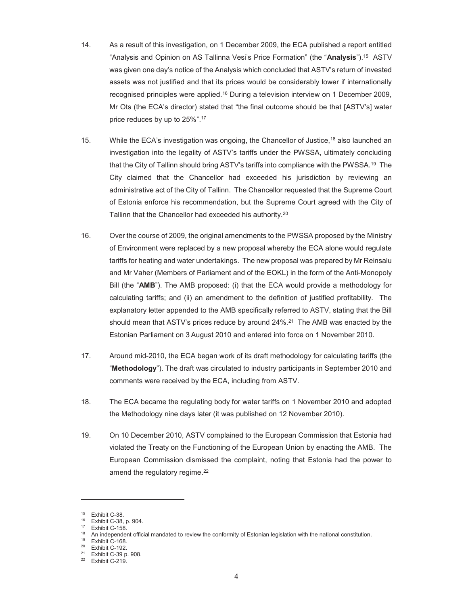- 14. As a result of this investigation, on 1 December 2009, the ECA published a report entitled "Analysis and Opinion on AS Tallinna Vesi's Price Formation" (the "**Analysis**"). 15 ASTV was given one day's notice of the Analysis which concluded that ASTV's return of invested assets was not justified and that its prices would be considerably lower if internationally recognised principles were applied.16 During a television interview on 1 December 2009, Mr Ots (the ECA's director) stated that "the final outcome should be that [ASTV's] water price reduces by up to 25%".17
- 15. While the ECA's investigation was ongoing, the Chancellor of Justice, <sup>18</sup> also launched an investigation into the legality of ASTV's tariffs under the PWSSA, ultimately concluding that the City of Tallinn should bring ASTV's tariffs into compliance with the PWSSA.19 The City claimed that the Chancellor had exceeded his jurisdiction by reviewing an administrative act of the City of Tallinn. The Chancellor requested that the Supreme Court of Estonia enforce his recommendation, but the Supreme Court agreed with the City of Tallinn that the Chancellor had exceeded his authority.20
- 16. Over the course of 2009, the original amendments to the PWSSA proposed by the Ministry of Environment were replaced by a new proposal whereby the ECA alone would regulate tariffs for heating and water undertakings. The new proposal was prepared by Mr Reinsalu and Mr Vaher (Members of Parliament and of the EOKL) in the form of the Anti-Monopoly Bill (the "**AMB**"). The AMB proposed: (i) that the ECA would provide a methodology for calculating tariffs; and (ii) an amendment to the definition of justified profitability. The explanatory letter appended to the AMB specifically referred to ASTV, stating that the Bill should mean that ASTV's prices reduce by around  $24\%$ .<sup>21</sup> The AMB was enacted by the Estonian Parliament on 3 August 2010 and entered into force on 1 November 2010.
- 17. Around mid-2010, the ECA began work of its draft methodology for calculating tariffs (the "**Methodology**"). The draft was circulated to industry participants in September 2010 and comments were received by the ECA, including from ASTV.
- 18. The ECA became the regulating body for water tariffs on 1 November 2010 and adopted the Methodology nine days later (it was published on 12 November 2010).
- 19. On 10 December 2010, ASTV complained to the European Commission that Estonia had violated the Treaty on the Functioning of the European Union by enacting the AMB. The European Commission dismissed the complaint, noting that Estonia had the power to amend the regulatory regime.<sup>22</sup>

-

 $15$  Exhibit C-38.<br> $16$  Exhibit C 39

<sup>&</sup>lt;sup>16</sup> Exhibit C-38, p. 904.

 $17$  Exhibit C-158.

<sup>&</sup>lt;sup>18</sup> An independent official mandated to review the conformity of Estonian legislation with the national constitution.<br><sup>19</sup> Exhibit C-168.

<sup>20</sup> Exhibit C-192.

<sup>21</sup> Exhibit C-39 p. 908.

<sup>22</sup> Exhibit C-219.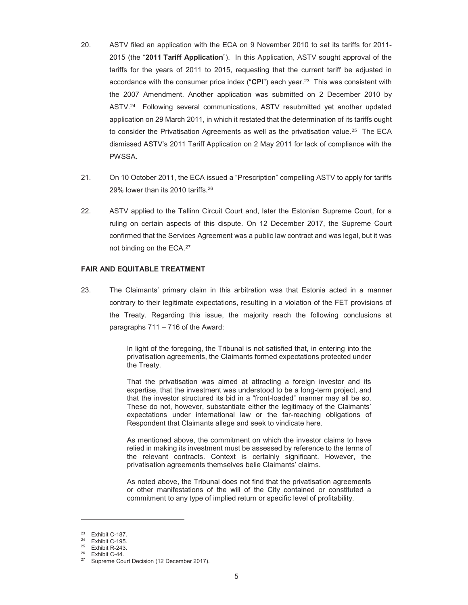- 20. ASTV filed an application with the ECA on 9 November 2010 to set its tariffs for 2011- 2015 (the "**2011 Tariff Application**"). In this Application, ASTV sought approval of the tariffs for the years of 2011 to 2015, requesting that the current tariff be adjusted in accordance with the consumer price index ("**CPI**") each year. 23 This was consistent with the 2007 Amendment. Another application was submitted on 2 December 2010 by ASTV.24 Following several communications, ASTV resubmitted yet another updated application on 29 March 2011, in which it restated that the determination of its tariffs ought to consider the Privatisation Agreements as well as the privatisation value.<sup>25</sup> The ECA dismissed ASTV's 2011 Tariff Application on 2 May 2011 for lack of compliance with the PWSSA.
- 21. On 10 October 2011, the ECA issued a "Prescription" compelling ASTV to apply for tariffs 29% lower than its 2010 tariffs.26
- 22. ASTV applied to the Tallinn Circuit Court and, later the Estonian Supreme Court, for a ruling on certain aspects of this dispute. On 12 December 2017, the Supreme Court confirmed that the Services Agreement was a public law contract and was legal, but it was not binding on the ECA.27

#### **FAIR AND EQUITABLE TREATMENT**

23. The Claimants' primary claim in this arbitration was that Estonia acted in a manner contrary to their legitimate expectations, resulting in a violation of the FET provisions of the Treaty. Regarding this issue, the majority reach the following conclusions at paragraphs 711 – 716 of the Award:

> In light of the foregoing, the Tribunal is not satisfied that, in entering into the privatisation agreements, the Claimants formed expectations protected under the Treaty.

> That the privatisation was aimed at attracting a foreign investor and its expertise, that the investment was understood to be a long-term project, and that the investor structured its bid in a "front-loaded" manner may all be so. These do not, however, substantiate either the legitimacy of the Claimants' expectations under international law or the far-reaching obligations of Respondent that Claimants allege and seek to vindicate here.

> As mentioned above, the commitment on which the investor claims to have relied in making its investment must be assessed by reference to the terms of the relevant contracts. Context is certainly significant. However, the privatisation agreements themselves belie Claimants' claims.

> As noted above, the Tribunal does not find that the privatisation agreements or other manifestations of the will of the City contained or constituted a commitment to any type of implied return or specific level of profitability.

 $23$  Exhibit C-187.<br>  $24$  Exhibit C-195

Exhibit C-195.

 $25$  Exhibit R-243.

 $26$  Exhibit C-44.

Supreme Court Decision (12 December 2017).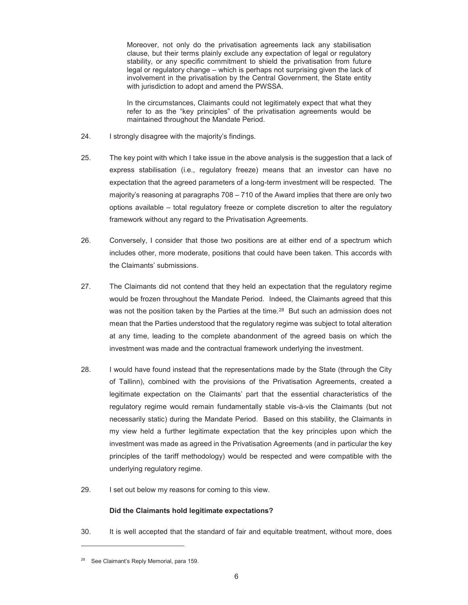Moreover, not only do the privatisation agreements lack any stabilisation clause, but their terms plainly exclude any expectation of legal or regulatory stability, or any specific commitment to shield the privatisation from future legal or regulatory change – which is perhaps not surprising given the lack of involvement in the privatisation by the Central Government, the State entity with jurisdiction to adopt and amend the PWSSA.

In the circumstances, Claimants could not legitimately expect that what they refer to as the "key principles" of the privatisation agreements would be maintained throughout the Mandate Period.

- 24. I strongly disagree with the majority's findings.
- 25. The key point with which I take issue in the above analysis is the suggestion that a lack of express stabilisation (i.e., regulatory freeze) means that an investor can have no expectation that the agreed parameters of a long-term investment will be respected. The majority's reasoning at paragraphs 708 – 710 of the Award implies that there are only two options available – total regulatory freeze or complete discretion to alter the regulatory framework without any regard to the Privatisation Agreements.
- 26. Conversely, I consider that those two positions are at either end of a spectrum which includes other, more moderate, positions that could have been taken. This accords with the Claimants' submissions.
- 27. The Claimants did not contend that they held an expectation that the regulatory regime would be frozen throughout the Mandate Period. Indeed, the Claimants agreed that this was not the position taken by the Parties at the time.<sup>28</sup> But such an admission does not mean that the Parties understood that the regulatory regime was subject to total alteration at any time, leading to the complete abandonment of the agreed basis on which the investment was made and the contractual framework underlying the investment.
- 28. I would have found instead that the representations made by the State (through the City of Tallinn), combined with the provisions of the Privatisation Agreements, created a legitimate expectation on the Claimants' part that the essential characteristics of the regulatory regime would remain fundamentally stable vis-à-vis the Claimants (but not necessarily static) during the Mandate Period. Based on this stability, the Claimants in my view held a further legitimate expectation that the key principles upon which the investment was made as agreed in the Privatisation Agreements (and in particular the key principles of the tariff methodology) would be respected and were compatible with the underlying regulatory regime.
- 29. I set out below my reasons for coming to this view.

# **Did the Claimants hold legitimate expectations?**

30. It is well accepted that the standard of fair and equitable treatment, without more, does

<sup>&</sup>lt;sup>28</sup> See Claimant's Reply Memorial, para 159.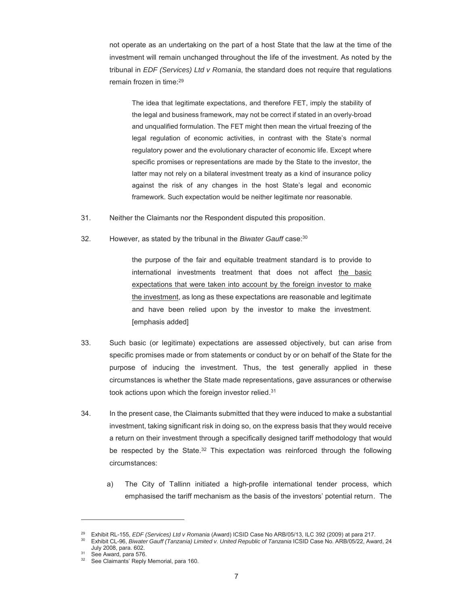not operate as an undertaking on the part of a host State that the law at the time of the investment will remain unchanged throughout the life of the investment. As noted by the tribunal in *EDF (Services) Ltd v Romania*, the standard does not require that regulations remain frozen in time:29

The idea that legitimate expectations, and therefore FET, imply the stability of the legal and business framework, may not be correct if stated in an overly-broad and unqualified formulation. The FET might then mean the virtual freezing of the legal regulation of economic activities, in contrast with the State's normal regulatory power and the evolutionary character of economic life. Except where specific promises or representations are made by the State to the investor, the latter may not rely on a bilateral investment treaty as a kind of insurance policy against the risk of any changes in the host State's legal and economic framework. Such expectation would be neither legitimate nor reasonable.

- 31. Neither the Claimants nor the Respondent disputed this proposition.
- 32. However, as stated by the tribunal in the *Biwater Gauff* case:30

the purpose of the fair and equitable treatment standard is to provide to international investments treatment that does not affect the basic expectations that were taken into account by the foreign investor to make the investment, as long as these expectations are reasonable and legitimate and have been relied upon by the investor to make the investment. [emphasis added]

- 33. Such basic (or legitimate) expectations are assessed objectively, but can arise from specific promises made or from statements or conduct by or on behalf of the State for the purpose of inducing the investment. Thus, the test generally applied in these circumstances is whether the State made representations, gave assurances or otherwise took actions upon which the foreign investor relied.<sup>31</sup>
- 34. In the present case, the Claimants submitted that they were induced to make a substantial investment, taking significant risk in doing so, on the express basis that they would receive a return on their investment through a specifically designed tariff methodology that would be respected by the State.<sup>32</sup> This expectation was reinforced through the following circumstances:
	- a) The City of Tallinn initiated a high-profile international tender process, which emphasised the tariff mechanism as the basis of the investors' potential return. The

<sup>&</sup>lt;sup>29</sup> Exhibit RL-155, *EDF (Services) Ltd v Romania (Award) ICSID Case No ARB/05/13, ILC 392 (2009) at para 217.<br><sup>30</sup> Exhibit CL-96, <i>Biwater Gauff (Tanzania) Limited v. United Republic of Tanzania ICSID Case No. ARB/05/22,* July 2008, para. 602.<br><sup>31</sup> See Award, para 576.<br><sup>32</sup> See Claimante' Bank.

See Claimants' Reply Memorial, para 160.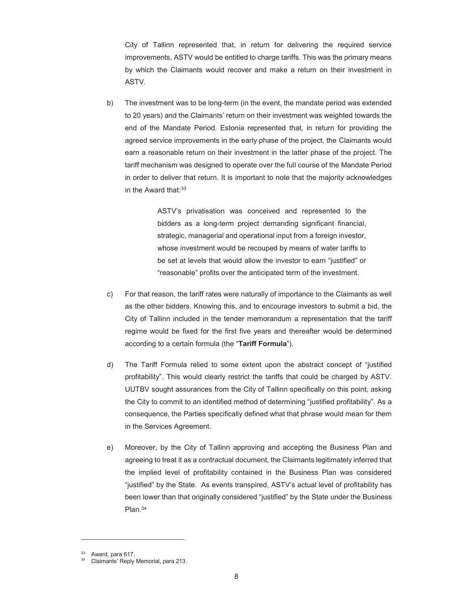City of Tallinn represented that, in return for delivering the required service improvements, ASTV would be entitled to charge tariffs. This was the primary means by which the Claimants would recover and make a return on their investment in ASTV.

b) The investment was to be long-term (in the event, the mandate period was extended to 20 years) and the Claimants' return on their investment was weighted towards the end of the Mandate Period. Estonia represented that, in return for providing the agreed service improvements in the early phase of the project, the Claimants would earn a reasonable return on their investment in the latter phase of the project. The tariff mechanism was designed to operate over the full course of the Mandate Period in order to deliver that return. It is important to note that the majority acknowledges in the Award that: $33$ 

> ASTV's privatisation was conceived and represented to the bidders as a long-term project demanding significant financial, strategic, managerial and operational input from a foreign investor, whose investment would be recouped by means of water tariffs to be set at levels that would allow the investor to earn "justified" or "reasonable" profits over the anticipated term of the investment.

- c) For that reason, the tariff rates were naturally of importance to the Claimants as well as the other bidders. Knowing this, and to encourage investors to submit a bid, the City of Tallinn included in the tender memorandum a representation that the tariff regime would be fixed for the first five years and thereafter would be determined according to a certain formula (the "**Tariff Formula**").
- d) The Tariff Formula relied to some extent upon the abstract concept of "justified profitability". This would clearly restrict the tariffs that could be charged by ASTV. UUTBV sought assurances from the City of Tallinn specifically on this point, asking the City to commit to an identified method of determining "justified profitability". As a consequence, the Parties specifically defined what that phrase would mean for them in the Services Agreement.
- e) Moreover, by the City of Tallinn approving and accepting the Business Plan and agreeing to treat it as a contractual document, the Claimants legitimately inferred that the implied level of profitability contained in the Business Plan was considered "justified" by the State. As events transpired, ASTV's actual level of profitability has been lower than that originally considered "justified" by the State under the Business Plan.34

<sup>33</sup> Award, para 617.

Claimants' Reply Memorial, para 213.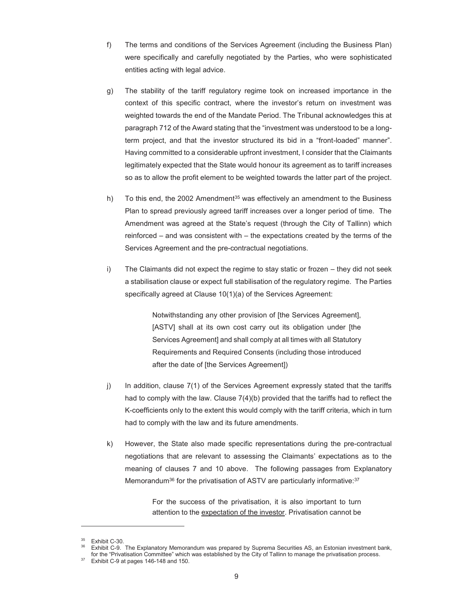- f) The terms and conditions of the Services Agreement (including the Business Plan) were specifically and carefully negotiated by the Parties, who were sophisticated entities acting with legal advice.
- g) The stability of the tariff regulatory regime took on increased importance in the context of this specific contract, where the investor's return on investment was weighted towards the end of the Mandate Period. The Tribunal acknowledges this at paragraph 712 of the Award stating that the "investment was understood to be a longterm project, and that the investor structured its bid in a "front-loaded" manner". Having committed to a considerable upfront investment, I consider that the Claimants legitimately expected that the State would honour its agreement as to tariff increases so as to allow the profit element to be weighted towards the latter part of the project.
- h) To this end, the 2002 Amendment<sup>35</sup> was effectively an amendment to the Business Plan to spread previously agreed tariff increases over a longer period of time. The Amendment was agreed at the State's request (through the City of Tallinn) which reinforced – and was consistent with – the expectations created by the terms of the Services Agreement and the pre-contractual negotiations.
- i) The Claimants did not expect the regime to stay static or frozen they did not seek a stabilisation clause or expect full stabilisation of the regulatory regime. The Parties specifically agreed at Clause 10(1)(a) of the Services Agreement:

Notwithstanding any other provision of [the Services Agreement], [ASTV] shall at its own cost carry out its obligation under [the Services Agreement] and shall comply at all times with all Statutory Requirements and Required Consents (including those introduced after the date of [the Services Agreement])

- j) In addition, clause 7(1) of the Services Agreement expressly stated that the tariffs had to comply with the law. Clause 7(4)(b) provided that the tariffs had to reflect the K-coefficients only to the extent this would comply with the tariff criteria, which in turn had to comply with the law and its future amendments.
- k) However, the State also made specific representations during the pre-contractual negotiations that are relevant to assessing the Claimants' expectations as to the meaning of clauses 7 and 10 above. The following passages from Explanatory Memorandum<sup>36</sup> for the privatisation of ASTV are particularly informative:<sup>37</sup>

For the success of the privatisation, it is also important to turn attention to the expectation of the investor. Privatisation cannot be

Exhibit C-30

Exhibit C-9. The Explanatory Memorandum was prepared by Suprema Securities AS, an Estonian investment bank, for the "Privatisation Committee" which was established by the City of Tallinn to manage the privatisation process. 37 Exhibit C-9 at pages 146-148 and 150.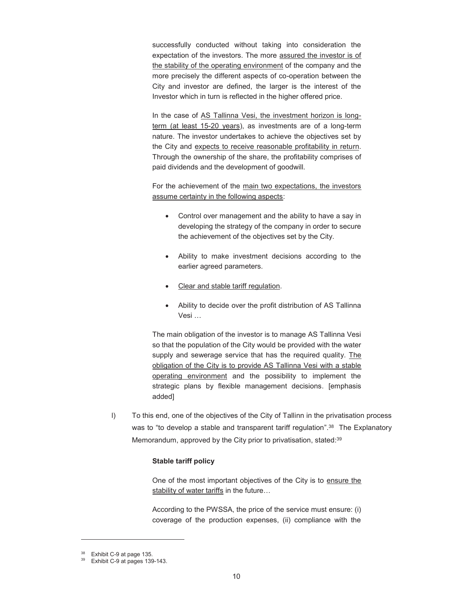successfully conducted without taking into consideration the expectation of the investors. The more assured the investor is of the stability of the operating environment of the company and the more precisely the different aspects of co-operation between the City and investor are defined, the larger is the interest of the Investor which in turn is reflected in the higher offered price.

In the case of AS Tallinna Vesi, the investment horizon is longterm (at least 15-20 years), as investments are of a long-term nature. The investor undertakes to achieve the objectives set by the City and expects to receive reasonable profitability in return. Through the ownership of the share, the profitability comprises of paid dividends and the development of goodwill.

For the achievement of the main two expectations, the investors assume certainty in the following aspects:

- Control over management and the ability to have a say in developing the strategy of the company in order to secure the achievement of the objectives set by the City.
- Ability to make investment decisions according to the earlier agreed parameters.
- Clear and stable tariff regulation.
- Ability to decide over the profit distribution of AS Tallinna Vesi …

The main obligation of the investor is to manage AS Tallinna Vesi so that the population of the City would be provided with the water supply and sewerage service that has the required quality. The obligation of the City is to provide AS Tallinna Vesi with a stable operating environment and the possibility to implement the strategic plans by flexible management decisions. [emphasis added]

l) To this end, one of the objectives of the City of Tallinn in the privatisation process was to "to develop a stable and transparent tariff regulation".<sup>38</sup> The Explanatory Memorandum, approved by the City prior to privatisation, stated:<sup>39</sup>

# **Stable tariff policy**

One of the most important objectives of the City is to ensure the stability of water tariffs in the future...

According to the PWSSA, the price of the service must ensure: (i) coverage of the production expenses, (ii) compliance with the

<sup>&</sup>lt;sup>38</sup> Exhibit C-9 at page 135.

Exhibit C-9 at pages 139-143.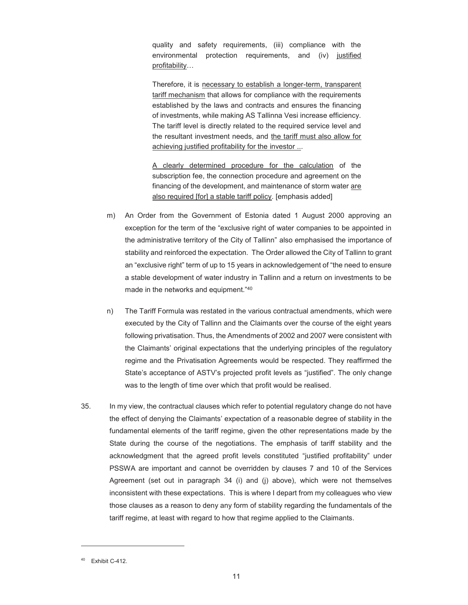quality and safety requirements, (iii) compliance with the environmental protection requirements, and (iv) justified profitability…

Therefore, it is necessary to establish a longer-term, transparent tariff mechanism that allows for compliance with the requirements established by the laws and contracts and ensures the financing of investments, while making AS Tallinna Vesi increase efficiency. The tariff level is directly related to the required service level and the resultant investment needs, and the tariff must also allow for achieving justified profitability for the investor ...

A clearly determined procedure for the calculation of the subscription fee, the connection procedure and agreement on the financing of the development, and maintenance of storm water are also required [for] a stable tariff policy. [emphasis added]

- m) An Order from the Government of Estonia dated 1 August 2000 approving an exception for the term of the "exclusive right of water companies to be appointed in the administrative territory of the City of Tallinn" also emphasised the importance of stability and reinforced the expectation. The Order allowed the City of Tallinn to grant an "exclusive right" term of up to 15 years in acknowledgement of "the need to ensure a stable development of water industry in Tallinn and a return on investments to be made in the networks and equipment."<sup>40</sup>
- n) The Tariff Formula was restated in the various contractual amendments, which were executed by the City of Tallinn and the Claimants over the course of the eight years following privatisation. Thus, the Amendments of 2002 and 2007 were consistent with the Claimants' original expectations that the underlying principles of the regulatory regime and the Privatisation Agreements would be respected. They reaffirmed the State's acceptance of ASTV's projected profit levels as "justified". The only change was to the length of time over which that profit would be realised.
- 35. In my view, the contractual clauses which refer to potential regulatory change do not have the effect of denying the Claimants' expectation of a reasonable degree of stability in the fundamental elements of the tariff regime, given the other representations made by the State during the course of the negotiations. The emphasis of tariff stability and the acknowledgment that the agreed profit levels constituted "justified profitability" under PSSWA are important and cannot be overridden by clauses 7 and 10 of the Services Agreement (set out in paragraph 34 (i) and (j) above), which were not themselves inconsistent with these expectations. This is where I depart from my colleagues who view those clauses as a reason to deny any form of stability regarding the fundamentals of the tariff regime, at least with regard to how that regime applied to the Claimants.

<sup>&</sup>lt;sup>40</sup> Exhibit C-412.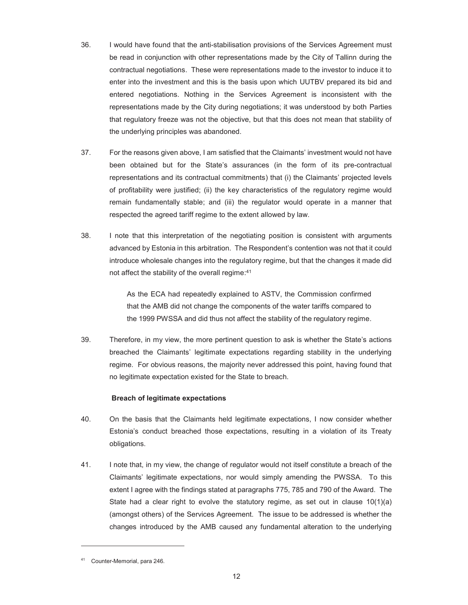- 36. I would have found that the anti-stabilisation provisions of the Services Agreement must be read in conjunction with other representations made by the City of Tallinn during the contractual negotiations. These were representations made to the investor to induce it to enter into the investment and this is the basis upon which UUTBV prepared its bid and entered negotiations. Nothing in the Services Agreement is inconsistent with the representations made by the City during negotiations; it was understood by both Parties that regulatory freeze was not the objective, but that this does not mean that stability of the underlying principles was abandoned.
- 37. For the reasons given above, I am satisfied that the Claimants' investment would not have been obtained but for the State's assurances (in the form of its pre-contractual representations and its contractual commitments) that (i) the Claimants' projected levels of profitability were justified; (ii) the key characteristics of the regulatory regime would remain fundamentally stable; and (iii) the regulator would operate in a manner that respected the agreed tariff regime to the extent allowed by law.
- 38. I note that this interpretation of the negotiating position is consistent with arguments advanced by Estonia in this arbitration. The Respondent's contention was not that it could introduce wholesale changes into the regulatory regime, but that the changes it made did not affect the stability of the overall regime:<sup>41</sup>

As the ECA had repeatedly explained to ASTV, the Commission confirmed that the AMB did not change the components of the water tariffs compared to the 1999 PWSSA and did thus not affect the stability of the regulatory regime.

39. Therefore, in my view, the more pertinent question to ask is whether the State's actions breached the Claimants' legitimate expectations regarding stability in the underlying regime. For obvious reasons, the majority never addressed this point, having found that no legitimate expectation existed for the State to breach.

# **Breach of legitimate expectations**

- 40. On the basis that the Claimants held legitimate expectations, I now consider whether Estonia's conduct breached those expectations, resulting in a violation of its Treaty obligations.
- 41. I note that, in my view, the change of regulator would not itself constitute a breach of the Claimants' legitimate expectations, nor would simply amending the PWSSA. To this extent I agree with the findings stated at paragraphs 775, 785 and 790 of the Award. The State had a clear right to evolve the statutory regime, as set out in clause  $10(1)(a)$ (amongst others) of the Services Agreement. The issue to be addressed is whether the changes introduced by the AMB caused any fundamental alteration to the underlying

<sup>41</sup> Counter-Memorial, para 246.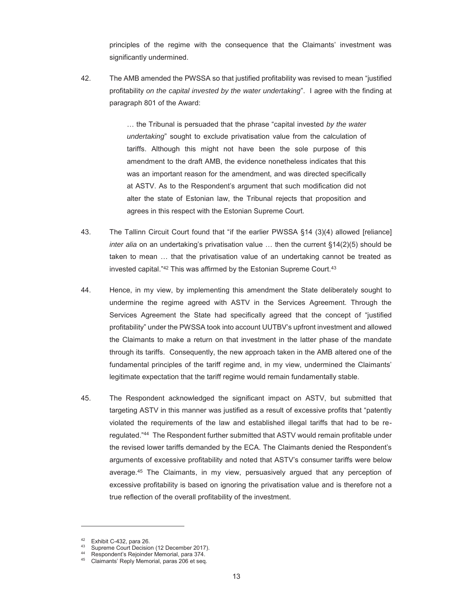principles of the regime with the consequence that the Claimants' investment was significantly undermined.

42. The AMB amended the PWSSA so that justified profitability was revised to mean "justified profitability *on the capital invested by the water undertaking*". I agree with the finding at paragraph 801 of the Award:

> … the Tribunal is persuaded that the phrase "capital invested *by the water undertaking*" sought to exclude privatisation value from the calculation of tariffs. Although this might not have been the sole purpose of this amendment to the draft AMB, the evidence nonetheless indicates that this was an important reason for the amendment, and was directed specifically at ASTV. As to the Respondent's argument that such modification did not alter the state of Estonian law, the Tribunal rejects that proposition and agrees in this respect with the Estonian Supreme Court.

- 43. The Tallinn Circuit Court found that "if the earlier PWSSA §14 (3)(4) allowed [reliance] *inter alia* on an undertaking's privatisation value … then the current §14(2)(5) should be taken to mean … that the privatisation value of an undertaking cannot be treated as invested capital."<sup>42</sup> This was affirmed by the Estonian Supreme Court.<sup>43</sup>
- 44. Hence, in my view, by implementing this amendment the State deliberately sought to undermine the regime agreed with ASTV in the Services Agreement. Through the Services Agreement the State had specifically agreed that the concept of "justified profitability" under the PWSSA took into account UUTBV's upfront investment and allowed the Claimants to make a return on that investment in the latter phase of the mandate through its tariffs. Consequently, the new approach taken in the AMB altered one of the fundamental principles of the tariff regime and, in my view, undermined the Claimants' legitimate expectation that the tariff regime would remain fundamentally stable.
- 45. The Respondent acknowledged the significant impact on ASTV, but submitted that targeting ASTV in this manner was justified as a result of excessive profits that "patently violated the requirements of the law and established illegal tariffs that had to be reregulated."44 The Respondent further submitted that ASTV would remain profitable under the revised lower tariffs demanded by the ECA. The Claimants denied the Respondent's arguments of excessive profitability and noted that ASTV's consumer tariffs were below average.45 The Claimants, in my view, persuasively argued that any perception of excessive profitability is based on ignoring the privatisation value and is therefore not a true reflection of the overall profitability of the investment.

Exhibit C-432, para 26.

<sup>&</sup>lt;sup>43</sup> Supreme Court Decision (12 December 2017).<br><sup>44</sup> Respondent's Rejoinder Memorial, para 374.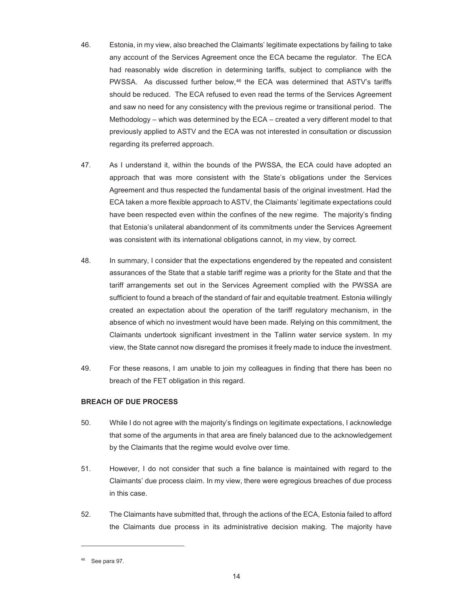- 46. Estonia, in my view, also breached the Claimants' legitimate expectations by failing to take any account of the Services Agreement once the ECA became the regulator. The ECA had reasonably wide discretion in determining tariffs, subject to compliance with the PWSSA. As discussed further below, $46$  the ECA was determined that ASTV's tariffs should be reduced. The ECA refused to even read the terms of the Services Agreement and saw no need for any consistency with the previous regime or transitional period. The Methodology – which was determined by the ECA – created a very different model to that previously applied to ASTV and the ECA was not interested in consultation or discussion regarding its preferred approach.
- 47. As I understand it, within the bounds of the PWSSA, the ECA could have adopted an approach that was more consistent with the State's obligations under the Services Agreement and thus respected the fundamental basis of the original investment. Had the ECA taken a more flexible approach to ASTV, the Claimants' legitimate expectations could have been respected even within the confines of the new regime. The majority's finding that Estonia's unilateral abandonment of its commitments under the Services Agreement was consistent with its international obligations cannot, in my view, by correct.
- 48. In summary, I consider that the expectations engendered by the repeated and consistent assurances of the State that a stable tariff regime was a priority for the State and that the tariff arrangements set out in the Services Agreement complied with the PWSSA are sufficient to found a breach of the standard of fair and equitable treatment. Estonia willingly created an expectation about the operation of the tariff regulatory mechanism, in the absence of which no investment would have been made. Relying on this commitment, the Claimants undertook significant investment in the Tallinn water service system. In my view, the State cannot now disregard the promises it freely made to induce the investment.
- 49. For these reasons, I am unable to join my colleagues in finding that there has been no breach of the FET obligation in this regard.

# **BREACH OF DUE PROCESS**

- 50. While I do not agree with the majority's findings on legitimate expectations, I acknowledge that some of the arguments in that area are finely balanced due to the acknowledgement by the Claimants that the regime would evolve over time.
- 51. However, I do not consider that such a fine balance is maintained with regard to the Claimants' due process claim. In my view, there were egregious breaches of due process in this case.
- 52. The Claimants have submitted that, through the actions of the ECA, Estonia failed to afford the Claimants due process in its administrative decision making. The majority have

 $46$  See para 97.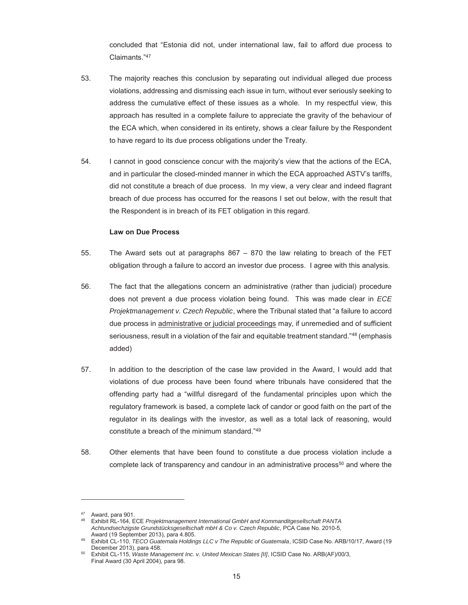concluded that "Estonia did not, under international law, fail to afford due process to Claimants."<sup>47</sup>

- 53. The majority reaches this conclusion by separating out individual alleged due process violations, addressing and dismissing each issue in turn, without ever seriously seeking to address the cumulative effect of these issues as a whole. In my respectful view, this approach has resulted in a complete failure to appreciate the gravity of the behaviour of the ECA which, when considered in its entirety, shows a clear failure by the Respondent to have regard to its due process obligations under the Treaty.
- 54. I cannot in good conscience concur with the majority's view that the actions of the ECA, and in particular the closed-minded manner in which the ECA approached ASTV's tariffs, did not constitute a breach of due process. In my view, a very clear and indeed flagrant breach of due process has occurred for the reasons I set out below, with the result that the Respondent is in breach of its FET obligation in this regard.

#### **Law on Due Process**

- 55. The Award sets out at paragraphs 867 870 the law relating to breach of the FET obligation through a failure to accord an investor due process. I agree with this analysis.
- 56. The fact that the allegations concern an administrative (rather than judicial) procedure does not prevent a due process violation being found. This was made clear in *ECE Projektmanagement v. Czech Republic*, where the Tribunal stated that "a failure to accord due process in administrative or judicial proceedings may, if unremedied and of sufficient seriousness, result in a violation of the fair and equitable treatment standard."48 (emphasis added)
- 57. In addition to the description of the case law provided in the Award, I would add that violations of due process have been found where tribunals have considered that the offending party had a "willful disregard of the fundamental principles upon which the regulatory framework is based, a complete lack of candor or good faith on the part of the regulator in its dealings with the investor, as well as a total lack of reasoning, would constitute a breach of the minimum standard."<sup>49</sup>
- 58. Other elements that have been found to constitute a due process violation include a complete lack of transparency and candour in an administrative process<sup>50</sup> and where the

-

<sup>47</sup> Award, para 901.

<sup>48</sup> Exhibit RL-164, ECE *Projektmanagement International GmbH and Kommanditgesellschaft PANTA Achtundsechzigste Grundstücksgesellschaft mbH & Co v. Czech Republic*, PCA Case No. 2010-5,

Exhibit CL-110, *TECO Guatemala Holdings LLC v The Republic of Guatemala*, ICSID Case No. ARB/10/17, Award (19 December 2013), para 458. 50 Exhibit CL-115, *Waste Management Inc. v. United Mexican States [II]*, ICSID Case No. ARB(AF)/00/3,

Final Award (30 April 2004), para 98.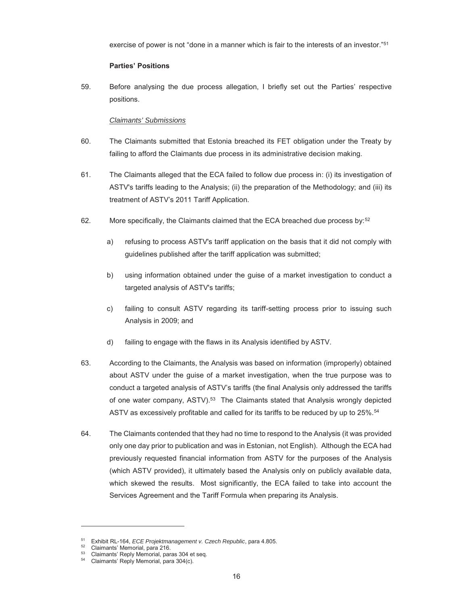exercise of power is not "done in a manner which is fair to the interests of an investor."51

# **Parties' Positions**

59. Before analysing the due process allegation, I briefly set out the Parties' respective positions.

# *Claimants' Submissions*

- 60. The Claimants submitted that Estonia breached its FET obligation under the Treaty by failing to afford the Claimants due process in its administrative decision making.
- 61. The Claimants alleged that the ECA failed to follow due process in: (i) its investigation of ASTV's tariffs leading to the Analysis; (ii) the preparation of the Methodology; and (iii) its treatment of ASTV's 2011 Tariff Application.
- 62. More specifically, the Claimants claimed that the ECA breached due process by:52
	- a) refusing to process ASTV's tariff application on the basis that it did not comply with guidelines published after the tariff application was submitted;
	- b) using information obtained under the guise of a market investigation to conduct a targeted analysis of ASTV's tariffs;
	- c) failing to consult ASTV regarding its tariff-setting process prior to issuing such Analysis in 2009; and
	- d) failing to engage with the flaws in its Analysis identified by ASTV.
- 63. According to the Claimants, the Analysis was based on information (improperly) obtained about ASTV under the guise of a market investigation, when the true purpose was to conduct a targeted analysis of ASTV's tariffs (the final Analysis only addressed the tariffs of one water company, ASTV).53 The Claimants stated that Analysis wrongly depicted ASTV as excessively profitable and called for its tariffs to be reduced by up to 25%.<sup>54</sup>
- 64. The Claimants contended that they had no time to respond to the Analysis (it was provided only one day prior to publication and was in Estonian, not English). Although the ECA had previously requested financial information from ASTV for the purposes of the Analysis (which ASTV provided), it ultimately based the Analysis only on publicly available data, which skewed the results. Most significantly, the ECA failed to take into account the Services Agreement and the Tariff Formula when preparing its Analysis.

<sup>&</sup>lt;sup>51</sup> Exhibit RL-164, *ECE Projektmanagement v. Czech Republic*, para 4.805.<br><sup>52</sup> Claimants' Memorial, para 216.<br><sup>53</sup> Claimants' Reply Memorial, para 304 et seq.<br><sup>54</sup> Claimants' Reply Memorial, para 304(c).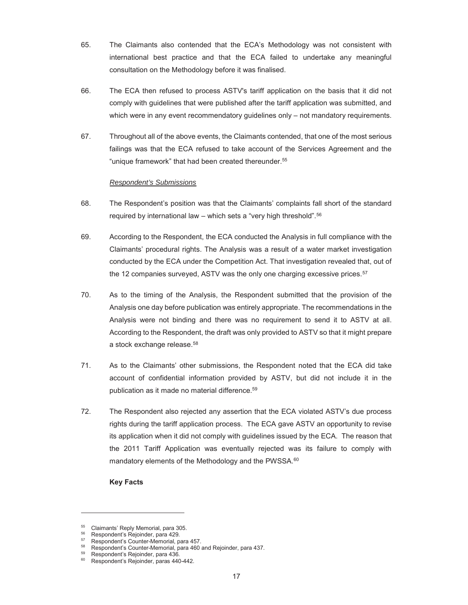- 65. The Claimants also contended that the ECA's Methodology was not consistent with international best practice and that the ECA failed to undertake any meaningful consultation on the Methodology before it was finalised.
- 66. The ECA then refused to process ASTV's tariff application on the basis that it did not comply with guidelines that were published after the tariff application was submitted, and which were in any event recommendatory guidelines only – not mandatory requirements.
- 67. Throughout all of the above events, the Claimants contended, that one of the most serious failings was that the ECA refused to take account of the Services Agreement and the "unique framework" that had been created thereunder.<sup>55</sup>

# *Respondent's Submissions*

- 68. The Respondent's position was that the Claimants' complaints fall short of the standard required by international law – which sets a "very high threshold".<sup>56</sup>
- 69. According to the Respondent, the ECA conducted the Analysis in full compliance with the Claimants' procedural rights. The Analysis was a result of a water market investigation conducted by the ECA under the Competition Act. That investigation revealed that, out of the 12 companies surveyed, ASTV was the only one charging excessive prices.<sup>57</sup>
- 70. As to the timing of the Analysis, the Respondent submitted that the provision of the Analysis one day before publication was entirely appropriate. The recommendations in the Analysis were not binding and there was no requirement to send it to ASTV at all. According to the Respondent, the draft was only provided to ASTV so that it might prepare a stock exchange release.58
- 71. As to the Claimants' other submissions, the Respondent noted that the ECA did take account of confidential information provided by ASTV, but did not include it in the publication as it made no material difference.59
- 72. The Respondent also rejected any assertion that the ECA violated ASTV's due process rights during the tariff application process. The ECA gave ASTV an opportunity to revise its application when it did not comply with guidelines issued by the ECA. The reason that the 2011 Tariff Application was eventually rejected was its failure to comply with mandatory elements of the Methodology and the PWSSA.<sup>60</sup>

# **Key Facts**

-

<sup>55</sup> Claimants' Reply Memorial, para 305.

 $56$  Respondent's Rejoinder, para 429.<br> $57$  Respondent's Counter-Memorial, para 457.

<sup>&</sup>lt;sup>58</sup>Respondent's Counter-Memorial, para 460 and Rejoinder, para 437.<br>
<sup>59</sup>Respondent's Rejoinder, para 436.<br>
<sup>60</sup>Respondent's Rejoinder, para 440, 442.

Respondent's Rejoinder, paras 440-442.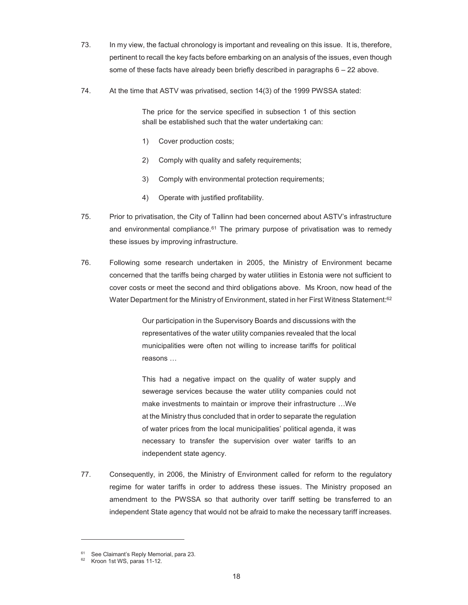- 73. In my view, the factual chronology is important and revealing on this issue. It is, therefore, pertinent to recall the key facts before embarking on an analysis of the issues, even though some of these facts have already been briefly described in paragraphs 6 – 22 above.
- 74. At the time that ASTV was privatised, section 14(3) of the 1999 PWSSA stated:

The price for the service specified in subsection 1 of this section shall be established such that the water undertaking can:

- 1) Cover production costs;
- 2) Comply with quality and safety requirements;
- 3) Comply with environmental protection requirements;
- 4) Operate with justified profitability.
- 75. Prior to privatisation, the City of Tallinn had been concerned about ASTV's infrastructure and environmental compliance. $61$  The primary purpose of privatisation was to remedy these issues by improving infrastructure.
- 76. Following some research undertaken in 2005, the Ministry of Environment became concerned that the tariffs being charged by water utilities in Estonia were not sufficient to cover costs or meet the second and third obligations above. Ms Kroon, now head of the Water Department for the Ministry of Environment, stated in her First Witness Statement:<sup>62</sup>

Our participation in the Supervisory Boards and discussions with the representatives of the water utility companies revealed that the local municipalities were often not willing to increase tariffs for political reasons …

This had a negative impact on the quality of water supply and sewerage services because the water utility companies could not make investments to maintain or improve their infrastructure …We at the Ministry thus concluded that in order to separate the regulation of water prices from the local municipalities' political agenda, it was necessary to transfer the supervision over water tariffs to an independent state agency.

77. Consequently, in 2006, the Ministry of Environment called for reform to the regulatory regime for water tariffs in order to address these issues. The Ministry proposed an amendment to the PWSSA so that authority over tariff setting be transferred to an independent State agency that would not be afraid to make the necessary tariff increases.

 $^{61}$  See Claimant's Reply Memorial, para 23.

Kroon 1st WS, paras 11-12.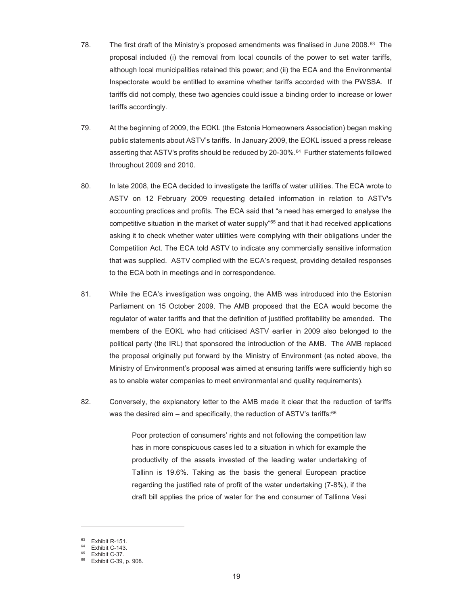- 78. The first draft of the Ministry's proposed amendments was finalised in June 2008.63 The proposal included (i) the removal from local councils of the power to set water tariffs, although local municipalities retained this power; and (ii) the ECA and the Environmental Inspectorate would be entitled to examine whether tariffs accorded with the PWSSA. If tariffs did not comply, these two agencies could issue a binding order to increase or lower tariffs accordingly.
- 79. At the beginning of 2009, the EOKL (the Estonia Homeowners Association) began making public statements about ASTV's tariffs. In January 2009, the EOKL issued a press release asserting that ASTV's profits should be reduced by 20-30%.64 Further statements followed throughout 2009 and 2010.
- 80. In late 2008, the ECA decided to investigate the tariffs of water utilities. The ECA wrote to ASTV on 12 February 2009 requesting detailed information in relation to ASTV's accounting practices and profits. The ECA said that "a need has emerged to analyse the competitive situation in the market of water supply"65 and that it had received applications asking it to check whether water utilities were complying with their obligations under the Competition Act. The ECA told ASTV to indicate any commercially sensitive information that was supplied. ASTV complied with the ECA's request, providing detailed responses to the ECA both in meetings and in correspondence.
- 81. While the ECA's investigation was ongoing, the AMB was introduced into the Estonian Parliament on 15 October 2009. The AMB proposed that the ECA would become the regulator of water tariffs and that the definition of justified profitability be amended. The members of the EOKL who had criticised ASTV earlier in 2009 also belonged to the political party (the IRL) that sponsored the introduction of the AMB. The AMB replaced the proposal originally put forward by the Ministry of Environment (as noted above, the Ministry of Environment's proposal was aimed at ensuring tariffs were sufficiently high so as to enable water companies to meet environmental and quality requirements).
- 82. Conversely, the explanatory letter to the AMB made it clear that the reduction of tariffs was the desired aim – and specifically, the reduction of ASTV's tariffs: $66$

Poor protection of consumers' rights and not following the competition law has in more conspicuous cases led to a situation in which for example the productivity of the assets invested of the leading water undertaking of Tallinn is 19.6%. Taking as the basis the general European practice regarding the justified rate of profit of the water undertaking (7-8%), if the draft bill applies the price of water for the end consumer of Tallinna Vesi

Exhibit R-151.

<sup>64</sup> Exhibit C-143.

 $^{65}$  Exhibit C-37.

<sup>66</sup> Exhibit C-39, p. 908.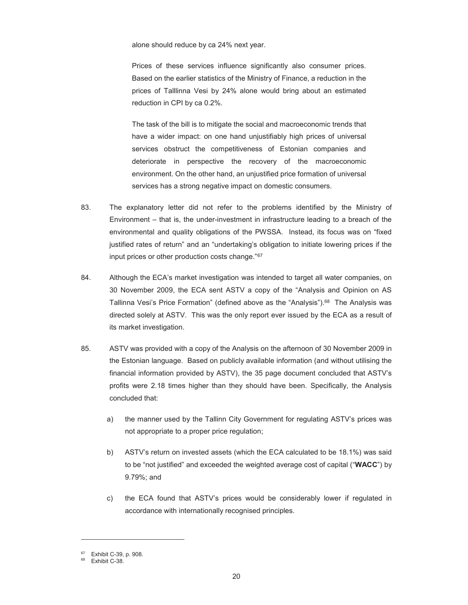alone should reduce by ca 24% next year.

Prices of these services influence significantly also consumer prices. Based on the earlier statistics of the Ministry of Finance, a reduction in the prices of Talllinna Vesi by 24% alone would bring about an estimated reduction in CPI by ca 0.2%.

The task of the bill is to mitigate the social and macroeconomic trends that have a wider impact: on one hand unjustifiably high prices of universal services obstruct the competitiveness of Estonian companies and deteriorate in perspective the recovery of the macroeconomic environment. On the other hand, an unjustified price formation of universal services has a strong negative impact on domestic consumers.

- 83. The explanatory letter did not refer to the problems identified by the Ministry of Environment – that is, the under-investment in infrastructure leading to a breach of the environmental and quality obligations of the PWSSA. Instead, its focus was on "fixed justified rates of return" and an "undertaking's obligation to initiate lowering prices if the input prices or other production costs change."67
- 84. Although the ECA's market investigation was intended to target all water companies, on 30 November 2009, the ECA sent ASTV a copy of the "Analysis and Opinion on AS Tallinna Vesi's Price Formation" (defined above as the "Analysis").<sup>68</sup> The Analysis was directed solely at ASTV. This was the only report ever issued by the ECA as a result of its market investigation.
- 85. ASTV was provided with a copy of the Analysis on the afternoon of 30 November 2009 in the Estonian language. Based on publicly available information (and without utilising the financial information provided by ASTV), the 35 page document concluded that ASTV's profits were 2.18 times higher than they should have been. Specifically, the Analysis concluded that:
	- a) the manner used by the Tallinn City Government for regulating ASTV's prices was not appropriate to a proper price regulation;
	- b) ASTV's return on invested assets (which the ECA calculated to be 18.1%) was said to be "not justified" and exceeded the weighted average cost of capital ("**WACC**") by 9.79%; and
	- c) the ECA found that ASTV's prices would be considerably lower if regulated in accordance with internationally recognised principles.

 $^{67}$  Exhibit C-39, p. 908.

Exhibit C-38.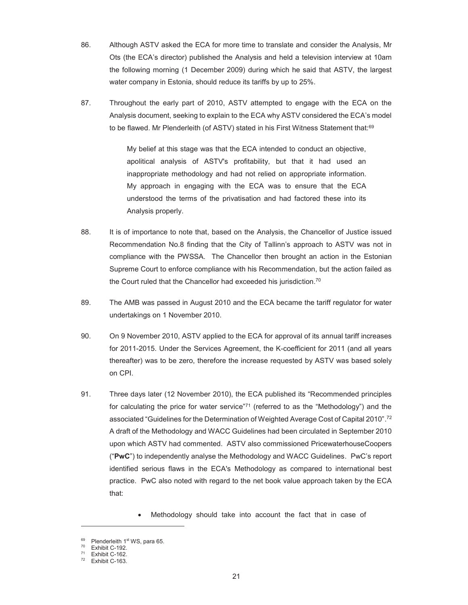- 86. Although ASTV asked the ECA for more time to translate and consider the Analysis, Mr Ots (the ECA's director) published the Analysis and held a television interview at 10am the following morning (1 December 2009) during which he said that ASTV, the largest water company in Estonia, should reduce its tariffs by up to 25%.
- 87. Throughout the early part of 2010, ASTV attempted to engage with the ECA on the Analysis document, seeking to explain to the ECA why ASTV considered the ECA's model to be flawed. Mr Plenderleith (of ASTV) stated in his First Witness Statement that:<sup>69</sup>

My belief at this stage was that the ECA intended to conduct an objective, apolitical analysis of ASTV's profitability, but that it had used an inappropriate methodology and had not relied on appropriate information. My approach in engaging with the ECA was to ensure that the ECA understood the terms of the privatisation and had factored these into its Analysis properly.

- 88. It is of importance to note that, based on the Analysis, the Chancellor of Justice issued Recommendation No.8 finding that the City of Tallinn's approach to ASTV was not in compliance with the PWSSA. The Chancellor then brought an action in the Estonian Supreme Court to enforce compliance with his Recommendation, but the action failed as the Court ruled that the Chancellor had exceeded his jurisdiction.<sup>70</sup>
- 89. The AMB was passed in August 2010 and the ECA became the tariff regulator for water undertakings on 1 November 2010.
- 90. On 9 November 2010, ASTV applied to the ECA for approval of its annual tariff increases for 2011-2015. Under the Services Agreement, the K-coefficient for 2011 (and all years thereafter) was to be zero, therefore the increase requested by ASTV was based solely on CPI.
- 91. Three days later (12 November 2010), the ECA published its "Recommended principles for calculating the price for water service"<sup>71</sup> (referred to as the "Methodology") and the associated "Guidelines for the Determination of Weighted Average Cost of Capital 2010". $^{72}$ A draft of the Methodology and WACC Guidelines had been circulated in September 2010 upon which ASTV had commented. ASTV also commissioned PricewaterhouseCoopers ("**PwC**") to independently analyse the Methodology and WACC Guidelines. PwC's report identified serious flaws in the ECA's Methodology as compared to international best practice. PwC also noted with regard to the net book value approach taken by the ECA that:

Methodology should take into account the fact that in case of

<sup>&</sup>lt;sup>69</sup> Plenderleith 1<sup>st</sup> WS, para 65.<br><sup>70</sup> Exhibit C-192.<br><sup>71</sup> Exhibit C-162.

 $71$  Exhibit C-162.

Exhibit C-163.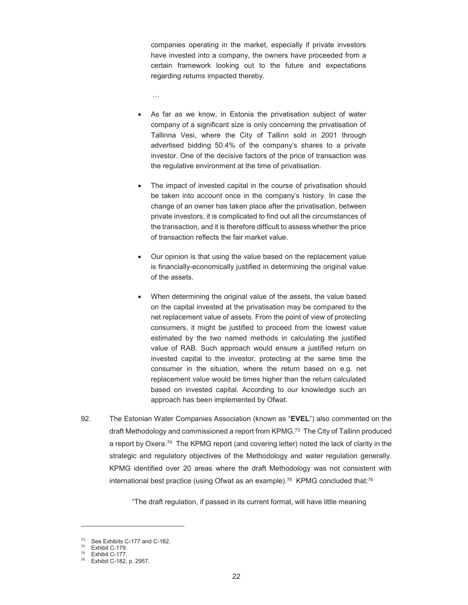companies operating in the market, especially if private investors have invested into a company, the owners have proceeded from a certain framework looking out to the future and expectations regarding returns impacted thereby.

…

- As far as we know, in Estonia the privatisation subject of water company of a significant size is only concerning the privatisation of Tallinna Vesi, where the City of Tallinn sold in 2001 through advertised bidding 50.4% of the company's shares to a private investor. One of the decisive factors of the price of transaction was the regulative environment at the time of privatisation.
- The impact of invested capital in the course of privatisation should be taken into account once in the company's history. In case the change of an owner has taken place after the privatisation, between private investors, it is complicated to find out all the circumstances of the transaction, and it is therefore difficult to assess whether the price of transaction reflects the fair market value.
- Our opinion is that using the value based on the replacement value is financially-economically justified in determining the original value of the assets.
- When determining the original value of the assets, the value based on the capital invested at the privatisation may be compared to the net replacement value of assets. From the point of view of protecting consumers, it might be justified to proceed from the lowest value estimated by the two named methods in calculating the justified value of RAB. Such approach would ensure a justified return on invested capital to the investor, protecting at the same time the consumer in the situation, where the return based on e.g. net replacement value would be times higher than the return calculated based on invested capital. According to our knowledge such an approach has been implemented by Ofwat.
- 92. The Estonian Water Companies Association (known as "**EVEL**") also commented on the draft Methodology and commissioned a report from KPMG.73 The City of Tallinn produced a report by Oxera.<sup>74</sup> The KPMG report (and covering letter) noted the lack of clarity in the strategic and regulatory objectives of the Methodology and water regulation generally. KPMG identified over 20 areas where the draft Methodology was not consistent with international best practice (using Ofwat as an example).<sup>75</sup> KPMG concluded that:<sup>76</sup>

"The draft regulation, if passed in its current format, will have little meaning

<sup>&</sup>lt;sup>73</sup> See Exhibits C-177 and C-182.

<sup>74</sup> Exhibit C-179.

<sup>75</sup> Exhibit C-177.

<sup>76</sup> Exhibit C-182, p. 2957.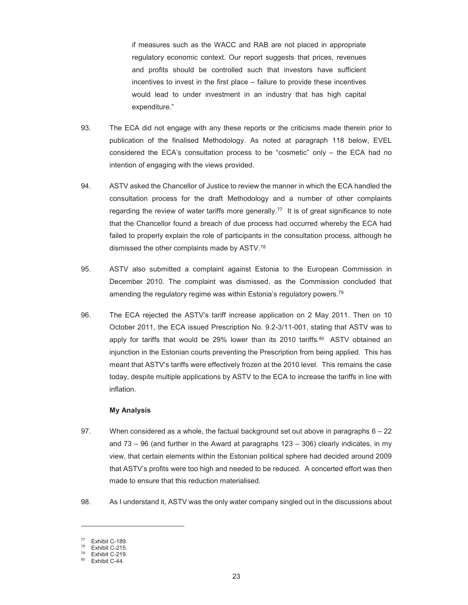if measures such as the WACC and RAB are not placed in appropriate regulatory economic context. Our report suggests that prices, revenues and profits should be controlled such that investors have sufficient incentives to invest in the first place – failure to provide these incentives would lead to under investment in an industry that has high capital expenditure."

- 93. The ECA did not engage with any these reports or the criticisms made therein prior to publication of the finalised Methodology. As noted at paragraph 118 below, EVEL considered the ECA's consultation process to be "cosmetic" only – the ECA had no intention of engaging with the views provided.
- 94. ASTV asked the Chancellor of Justice to review the manner in which the ECA handled the consultation process for the draft Methodology and a number of other complaints regarding the review of water tariffs more generally.<sup>77</sup> It is of great significance to note that the Chancellor found a breach of due process had occurred whereby the ECA had failed to properly explain the role of participants in the consultation process, although he dismissed the other complaints made by ASTV.78
- 95. ASTV also submitted a complaint against Estonia to the European Commission in December 2010. The complaint was dismissed, as the Commission concluded that amending the regulatory regime was within Estonia's regulatory powers.79
- 96. The ECA rejected the ASTV's tariff increase application on 2 May 2011. Then on 10 October 2011, the ECA issued Prescription No. 9.2-3/11-001, stating that ASTV was to apply for tariffs that would be 29% lower than its 2010 tariffs. 80 ASTV obtained an injunction in the Estonian courts preventing the Prescription from being applied. This has meant that ASTV's tariffs were effectively frozen at the 2010 level. This remains the case today, despite multiple applications by ASTV to the ECA to increase the tariffs in line with inflation.

#### **My Analysis**

- 97. When considered as a whole, the factual background set out above in paragraphs  $6 22$ and  $73 - 96$  (and further in the Award at paragraphs  $123 - 306$ ) clearly indicates, in my view, that certain elements within the Estonian political sphere had decided around 2009 that ASTV's profits were too high and needed to be reduced. A concerted effort was then made to ensure that this reduction materialised.
- 98. As I understand it, ASTV was the only water company singled out in the discussions about

Exhibit C-189.

 $78$  Exhibit C-215.

 $^{79}$  Exhibit C-219.

Exhibit C-44.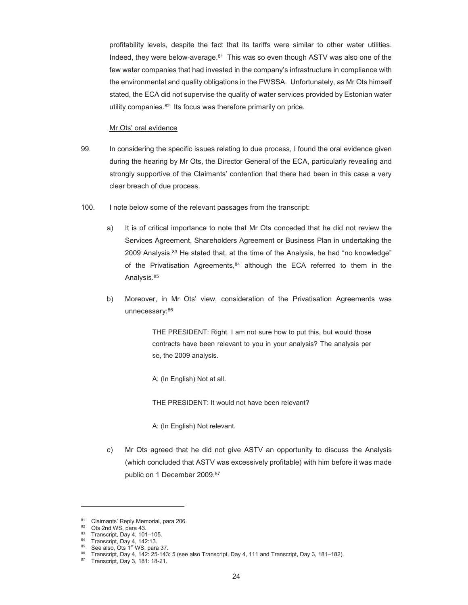profitability levels, despite the fact that its tariffs were similar to other water utilities. Indeed, they were below-average. $81$  This was so even though ASTV was also one of the few water companies that had invested in the company's infrastructure in compliance with the environmental and quality obligations in the PWSSA. Unfortunately, as Mr Ots himself stated, the ECA did not supervise the quality of water services provided by Estonian water utility companies.82 Its focus was therefore primarily on price.

#### Mr Ots' oral evidence

- 99. In considering the specific issues relating to due process, I found the oral evidence given during the hearing by Mr Ots, the Director General of the ECA, particularly revealing and strongly supportive of the Claimants' contention that there had been in this case a very clear breach of due process.
- 100. I note below some of the relevant passages from the transcript:
	- a) It is of critical importance to note that Mr Ots conceded that he did not review the Services Agreement, Shareholders Agreement or Business Plan in undertaking the 2009 Analysis.83 He stated that, at the time of the Analysis, he had "no knowledge" of the Privatisation Agreements, 84 although the ECA referred to them in the Analysis.<sup>85</sup>
	- b) Moreover, in Mr Ots' view, consideration of the Privatisation Agreements was unnecessary: 86

THE PRESIDENT: Right. I am not sure how to put this, but would those contracts have been relevant to you in your analysis? The analysis per se, the 2009 analysis.

A: (In English) Not at all.

THE PRESIDENT: It would not have been relevant?

A: (In English) Not relevant.

c) Mr Ots agreed that he did not give ASTV an opportunity to discuss the Analysis (which concluded that ASTV was excessively profitable) with him before it was made public on 1 December 2009.<sup>87</sup>

 $81$  Claimants' Reply Memorial, para 206.<br> $82$  Ots 2nd WS, para 43

 $82$  Ots 2nd WS, para 43.<br> $83$  Transcript, Day 4, 101-105.

<sup>&</sup>lt;sup>84</sup> Transcript, Day 4, 142:13.<br><sup>85</sup> See also, Ots 1<sup>st</sup> WS, para 37.

<sup>&</sup>lt;sup>86</sup> Transcript, Day 4, 142: 25-143: 5 (see also Transcript, Day 4, 111 and Transcript, Day 3, 181–182). Transcript, Day 3, 181: 18-21.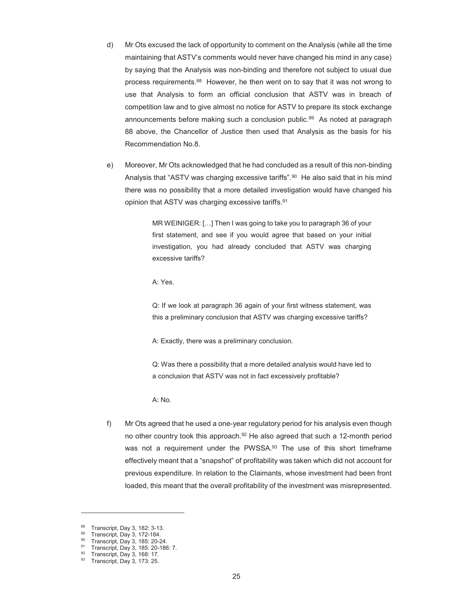- d) Mr Ots excused the lack of opportunity to comment on the Analysis (while all the time maintaining that ASTV's comments would never have changed his mind in any case) by saying that the Analysis was non-binding and therefore not subject to usual due process requirements.88 However, he then went on to say that it was not wrong to use that Analysis to form an official conclusion that ASTV was in breach of competition law and to give almost no notice for ASTV to prepare its stock exchange announcements before making such a conclusion public.89 As noted at paragraph 88 above, the Chancellor of Justice then used that Analysis as the basis for his Recommendation No.8.
- e) Moreover, Mr Ots acknowledged that he had concluded as a result of this non-binding Analysis that "ASTV was charging excessive tariffs".<sup>90</sup> He also said that in his mind there was no possibility that a more detailed investigation would have changed his opinion that ASTV was charging excessive tariffs.91

MR WEINIGER: […] Then I was going to take you to paragraph 36 of your first statement, and see if you would agree that based on your initial investigation, you had already concluded that ASTV was charging excessive tariffs?

A: Yes.

Q: If we look at paragraph 36 again of your first witness statement, was this a preliminary conclusion that ASTV was charging excessive tariffs?

A: Exactly, there was a preliminary conclusion.

Q: Was there a possibility that a more detailed analysis would have led to a conclusion that ASTV was not in fact excessively profitable?

A: No.

f) Mr Ots agreed that he used a one-year regulatory period for his analysis even though no other country took this approach.<sup>92</sup> He also agreed that such a 12-month period was not a requirement under the PWSSA.<sup>93</sup> The use of this short timeframe effectively meant that a "snapshot" of profitability was taken which did not account for previous expenditure. In relation to the Claimants, whose investment had been front loaded, this meant that the overall profitability of the investment was misrepresented.

-

<sup>88</sup> Transcript, Day 3, 182: 3-13.

<sup>89</sup> Transcript, Day 3, 172-184.

<sup>90</sup> Transcript, Day 3, 185: 20-24.

<sup>91</sup> Transcript, Day 3, 185: 20-186: 7.

<sup>92</sup> Transcript, Day 3, 168: 17.

<sup>93</sup> Transcript, Day 3, 173: 25.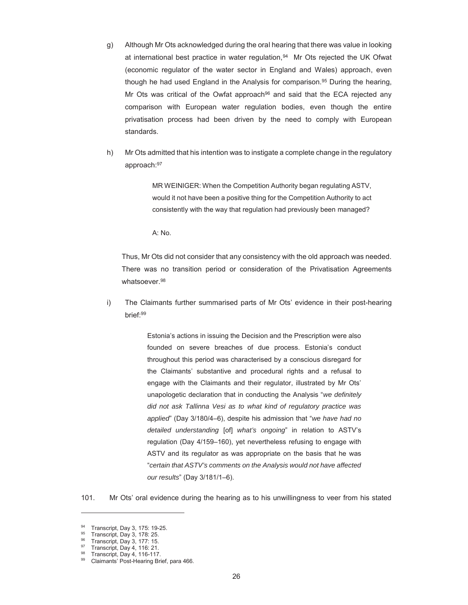- g) Although Mr Ots acknowledged during the oral hearing that there was value in looking at international best practice in water regulation,94 Mr Ots rejected the UK Ofwat (economic regulator of the water sector in England and Wales) approach, even though he had used England in the Analysis for comparison.95 During the hearing, Mr Ots was critical of the Owfat approach<sup>96</sup> and said that the ECA rejected any comparison with European water regulation bodies, even though the entire privatisation process had been driven by the need to comply with European standards.
- h) Mr Ots admitted that his intention was to instigate a complete change in the regulatory approach:97

MR WEINIGER: When the Competition Authority began regulating ASTV, would it not have been a positive thing for the Competition Authority to act consistently with the way that regulation had previously been managed?

A: No.

Thus, Mr Ots did not consider that any consistency with the old approach was needed. There was no transition period or consideration of the Privatisation Agreements whatsoever.<sup>98</sup>

i) The Claimants further summarised parts of Mr Ots' evidence in their post-hearing brief:99

> Estonia's actions in issuing the Decision and the Prescription were also founded on severe breaches of due process. Estonia's conduct throughout this period was characterised by a conscious disregard for the Claimants' substantive and procedural rights and a refusal to engage with the Claimants and their regulator, illustrated by Mr Ots' unapologetic declaration that in conducting the Analysis "*we definitely did not ask Tallinna Vesi as to what kind of regulatory practice was applied*" (Day 3/180/4–6), despite his admission that "*we have had no detailed understanding* [of] *what's ongoing*" in relation to ASTV's regulation (Day 4/159–160), yet nevertheless refusing to engage with ASTV and its regulator as was appropriate on the basis that he was "*certain that ASTV's comments on the Analysis would not have affected our results*" (Day 3/181/1–6).

101. Mr Ots' oral evidence during the hearing as to his unwillingness to veer from his stated

-

<sup>94</sup> Transcript, Day 3, 175: 19-25.

 $^{95}$  Transcript, Day 3, 178: 25.

<sup>96</sup> Transcript, Day 3, 177: 15.

<sup>97</sup> Transcript, Day 4, 116: 21.

<sup>98</sup> Transcript, Day 4, 116-117.

<sup>99</sup> Claimants' Post-Hearing Brief, para 466.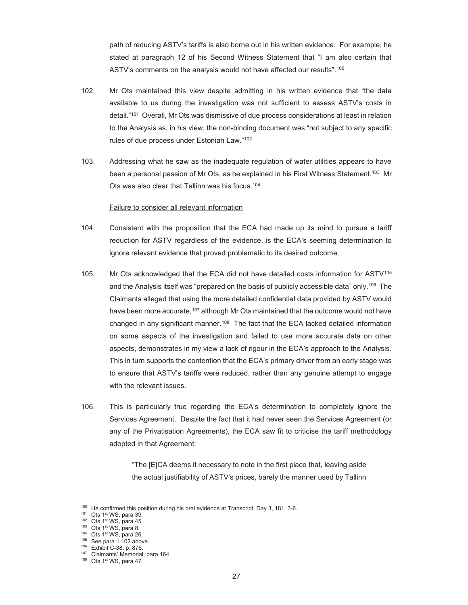path of reducing ASTV's tariffs is also borne out in his written evidence. For example, he stated at paragraph 12 of his Second Witness Statement that "I am also certain that ASTV's comments on the analysis would not have affected our results".<sup>100</sup>

- 102. Mr Ots maintained this view despite admitting in his written evidence that "the data available to us during the investigation was not sufficient to assess ASTV's costs in detail."101 Overall, Mr Ots was dismissive of due process considerations at least in relation to the Analysis as, in his view, the non-binding document was "not subject to any specific rules of due process under Estonian Law."<sup>102</sup>
- 103. Addressing what he saw as the inadequate regulation of water utilities appears to have been a personal passion of Mr Ots, as he explained in his First Witness Statement.<sup>103</sup> Mr Ots was also clear that Tallinn was his focus.104

#### Failure to consider all relevant information

- 104. Consistent with the proposition that the ECA had made up its mind to pursue a tariff reduction for ASTV regardless of the evidence, is the ECA's seeming determination to ignore relevant evidence that proved problematic to its desired outcome.
- 105. Mr Ots acknowledged that the ECA did not have detailed costs information for ASTV<sup>105</sup> and the Analysis itself was "prepared on the basis of publicly accessible data" only.106 The Claimants alleged that using the more detailed confidential data provided by ASTV would have been more accurate, <sup>107</sup> although Mr Ots maintained that the outcome would not have changed in any significant manner.<sup>108</sup> The fact that the ECA lacked detailed information on some aspects of the investigation and failed to use more accurate data on other aspects, demonstrates in my view a lack of rigour in the ECA's approach to the Analysis. This in turn supports the contention that the ECA's primary driver from an early stage was to ensure that ASTV's tariffs were reduced, rather than any genuine attempt to engage with the relevant issues.
- 106. This is particularly true regarding the ECA's determination to completely ignore the Services Agreement. Despite the fact that it had never seen the Services Agreement (or any of the Privatisation Agreements), the ECA saw fit to criticise the tariff methodology adopted in that Agreement:

"The [E]CA deems it necessary to note in the first place that, leaving aside the actual justifiability of ASTV's prices, barely the manner used by Tallinn

<sup>&</sup>lt;sup>100</sup> He confirmed this position during his oral evidence at Transcript, Day 3, 181: 3-6.<br><sup>101</sup> Ots 1<sup>st</sup> WS, para 39.<br><sup>102</sup> Ots 1<sup>st</sup> WS, para 45.<br><sup>102</sup> Ots 1<sup>st</sup> WS, para 45.<br><sup>103</sup> Ots 1<sup>st</sup> WS, para 26.<br><sup>105</sup> See para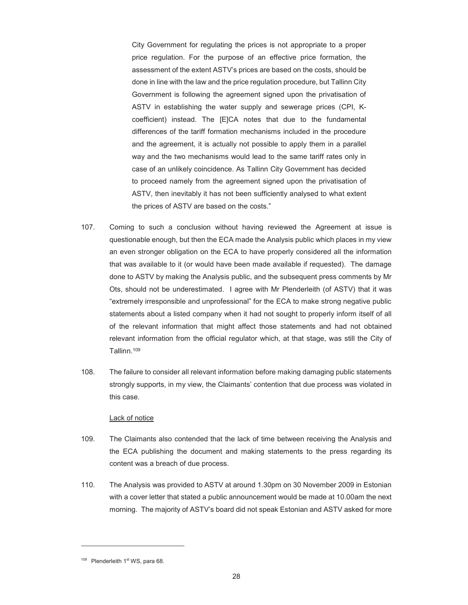City Government for regulating the prices is not appropriate to a proper price regulation. For the purpose of an effective price formation, the assessment of the extent ASTV's prices are based on the costs, should be done in line with the law and the price regulation procedure, but Tallinn City Government is following the agreement signed upon the privatisation of ASTV in establishing the water supply and sewerage prices (CPI, Kcoefficient) instead. The [E]CA notes that due to the fundamental differences of the tariff formation mechanisms included in the procedure and the agreement, it is actually not possible to apply them in a parallel way and the two mechanisms would lead to the same tariff rates only in case of an unlikely coincidence. As Tallinn City Government has decided to proceed namely from the agreement signed upon the privatisation of ASTV, then inevitably it has not been sufficiently analysed to what extent the prices of ASTV are based on the costs."

- 107. Coming to such a conclusion without having reviewed the Agreement at issue is questionable enough, but then the ECA made the Analysis public which places in my view an even stronger obligation on the ECA to have properly considered all the information that was available to it (or would have been made available if requested). The damage done to ASTV by making the Analysis public, and the subsequent press comments by Mr Ots, should not be underestimated. I agree with Mr Plenderleith (of ASTV) that it was "extremely irresponsible and unprofessional" for the ECA to make strong negative public statements about a listed company when it had not sought to properly inform itself of all of the relevant information that might affect those statements and had not obtained relevant information from the official regulator which, at that stage, was still the City of Tallinn.109
- 108. The failure to consider all relevant information before making damaging public statements strongly supports, in my view, the Claimants' contention that due process was violated in this case.

#### Lack of notice

- 109. The Claimants also contended that the lack of time between receiving the Analysis and the ECA publishing the document and making statements to the press regarding its content was a breach of due process.
- 110. The Analysis was provided to ASTV at around 1.30pm on 30 November 2009 in Estonian with a cover letter that stated a public announcement would be made at 10.00am the next morning. The majority of ASTV's board did not speak Estonian and ASTV asked for more

<sup>&</sup>lt;sup>109</sup> Plenderleith 1<sup>st</sup> WS, para 68.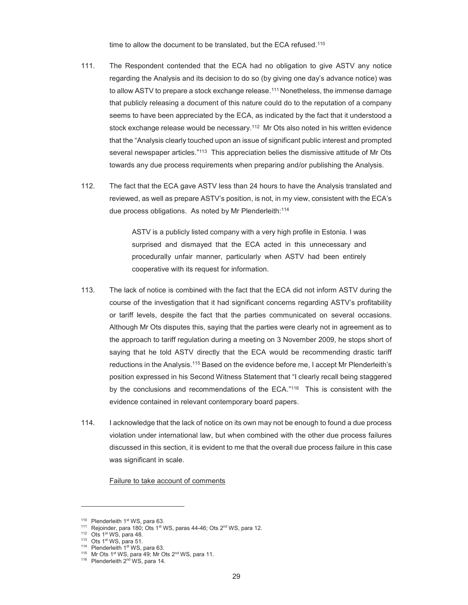time to allow the document to be translated, but the ECA refused.<sup>110</sup>

- 111. The Respondent contended that the ECA had no obligation to give ASTV any notice regarding the Analysis and its decision to do so (by giving one day's advance notice) was to allow ASTV to prepare a stock exchange release.<sup>111</sup> Nonetheless, the immense damage that publicly releasing a document of this nature could do to the reputation of a company seems to have been appreciated by the ECA, as indicated by the fact that it understood a stock exchange release would be necessary.112 Mr Ots also noted in his written evidence that the "Analysis clearly touched upon an issue of significant public interest and prompted several newspaper articles."113 This appreciation belies the dismissive attitude of Mr Ots towards any due process requirements when preparing and/or publishing the Analysis.
- 112. The fact that the ECA gave ASTV less than 24 hours to have the Analysis translated and reviewed, as well as prepare ASTV's position, is not, in my view, consistent with the ECA's due process obligations. As noted by Mr Plenderleith:114

ASTV is a publicly listed company with a very high profile in Estonia. I was surprised and dismayed that the ECA acted in this unnecessary and procedurally unfair manner, particularly when ASTV had been entirely cooperative with its request for information.

- 113. The lack of notice is combined with the fact that the ECA did not inform ASTV during the course of the investigation that it had significant concerns regarding ASTV's profitability or tariff levels, despite the fact that the parties communicated on several occasions. Although Mr Ots disputes this, saying that the parties were clearly not in agreement as to the approach to tariff regulation during a meeting on 3 November 2009, he stops short of saying that he told ASTV directly that the ECA would be recommending drastic tariff reductions in the Analysis.115 Based on the evidence before me, I accept Mr Plenderleith's position expressed in his Second Witness Statement that "I clearly recall being staggered by the conclusions and recommendations of the ECA."<sup>116</sup> This is consistent with the evidence contained in relevant contemporary board papers.
- 114. I acknowledge that the lack of notice on its own may not be enough to found a due process violation under international law, but when combined with the other due process failures discussed in this section, it is evident to me that the overall due process failure in this case was significant in scale.

Failure to take account of comments

<sup>&</sup>lt;sup>110</sup> Plenderleith 1<sup>st</sup> WS, para 63.<br>
<sup>111</sup> Rejoinder, para 180; Ots 1<sup>st</sup> WS, paras 44-46; Ots 2<sup>nd</sup> WS, para 12.<br>
<sup>112</sup> Ots 1<sup>st</sup> WS, para 48.<br>
<sup>113</sup> Ots 1<sup>st</sup> WS, para 51.<br>
<sup>114</sup> Plenderleith 1<sup>st</sup> WS, para 63.<br>
<sup>115</sup>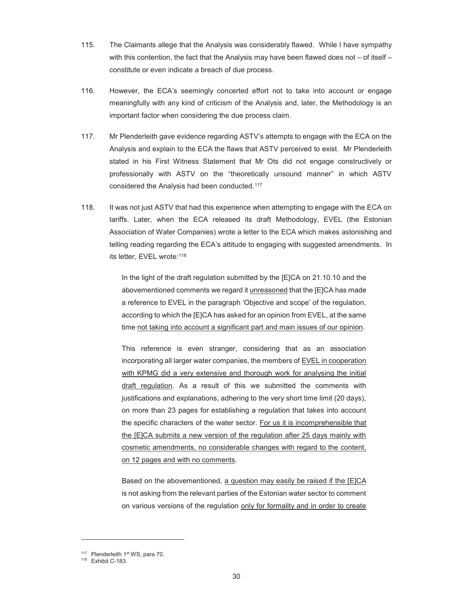- 115. The Claimants allege that the Analysis was considerably flawed. While I have sympathy with this contention, the fact that the Analysis may have been flawed does not – of itself – constitute or even indicate a breach of due process.
- 116. However, the ECA's seemingly concerted effort not to take into account or engage meaningfully with any kind of criticism of the Analysis and, later, the Methodology is an important factor when considering the due process claim.
- 117. Mr Plenderleith gave evidence regarding ASTV's attempts to engage with the ECA on the Analysis and explain to the ECA the flaws that ASTV perceived to exist. Mr Plenderleith stated in his First Witness Statement that Mr Ots did not engage constructively or professionally with ASTV on the "theoretically unsound manner" in which ASTV considered the Analysis had been conducted.117
- 118. It was not just ASTV that had this experience when attempting to engage with the ECA on tariffs. Later, when the ECA released its draft Methodology, EVEL (the Estonian Association of Water Companies) wrote a letter to the ECA which makes astonishing and telling reading regarding the ECA's attitude to engaging with suggested amendments. In its letter, EVEL wrote:118

In the light of the draft regulation submitted by the [E]CA on 21.10.10 and the abovementioned comments we regard it *unreasoned* that the [E]CA has made a reference to EVEL in the paragraph 'Objective and scope' of the regulation, according to which the [E]CA has asked for an opinion from EVEL, at the same time not taking into account a significant part and main issues of our opinion.

This reference is even stranger, considering that as an association incorporating all larger water companies, the members of EVEL in cooperation with KPMG did a very extensive and thorough work for analysing the initial draft regulation. As a result of this we submitted the comments with justifications and explanations, adhering to the very short time limit (20 days), on more than 23 pages for establishing a regulation that takes into account the specific characters of the water sector. For us it is incomprehensible that the [E]CA submits a new version of the regulation after 25 days mainly with cosmetic amendments, no considerable changes with regard to the content, on 12 pages and with no comments.

Based on the abovementioned, a question may easily be raised if the [E]CA is not asking from the relevant parties of the Estonian water sector to comment on various versions of the regulation only for formality and in order to create

<sup>&</sup>lt;sup>117</sup> Plenderleith 1<sup>st</sup> WS, para 70.<br><sup>118</sup> Exhibit C-183.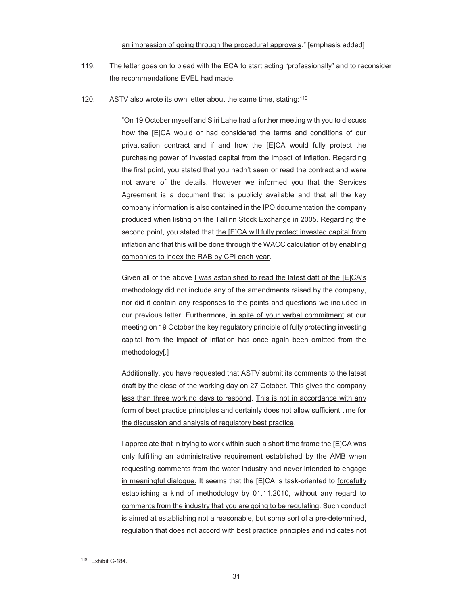#### an impression of going through the procedural approvals." [emphasis added]

- 119. The letter goes on to plead with the ECA to start acting "professionally" and to reconsider the recommendations EVEL had made.
- 120. ASTV also wrote its own letter about the same time, stating:<sup>119</sup>

"On 19 October myself and Siiri Lahe had a further meeting with you to discuss how the [E]CA would or had considered the terms and conditions of our privatisation contract and if and how the [E]CA would fully protect the purchasing power of invested capital from the impact of inflation. Regarding the first point, you stated that you hadn't seen or read the contract and were not aware of the details. However we informed you that the Services Agreement is a document that is publicly available and that all the key company information is also contained in the IPO documentation the company produced when listing on the Tallinn Stock Exchange in 2005. Regarding the second point, you stated that the [E]CA will fully protect invested capital from inflation and that this will be done through the WACC calculation of by enabling companies to index the RAB by CPI each year.

Given all of the above I was astonished to read the latest daft of the [E]CA's methodology did not include any of the amendments raised by the company, nor did it contain any responses to the points and questions we included in our previous letter. Furthermore, in spite of your verbal commitment at our meeting on 19 October the key regulatory principle of fully protecting investing capital from the impact of inflation has once again been omitted from the methodology[.]

Additionally, you have requested that ASTV submit its comments to the latest draft by the close of the working day on 27 October. This gives the company less than three working days to respond. This is not in accordance with any form of best practice principles and certainly does not allow sufficient time for the discussion and analysis of regulatory best practice.

I appreciate that in trying to work within such a short time frame the [E]CA was only fulfilling an administrative requirement established by the AMB when requesting comments from the water industry and never intended to engage in meaningful dialogue. It seems that the [E]CA is task-oriented to forcefully establishing a kind of methodology by 01.11.2010, without any regard to comments from the industry that you are going to be regulating. Such conduct is aimed at establishing not a reasonable, but some sort of a pre-determined, regulation that does not accord with best practice principles and indicates not

<sup>&</sup>lt;sup>119</sup> Exhibit C-184.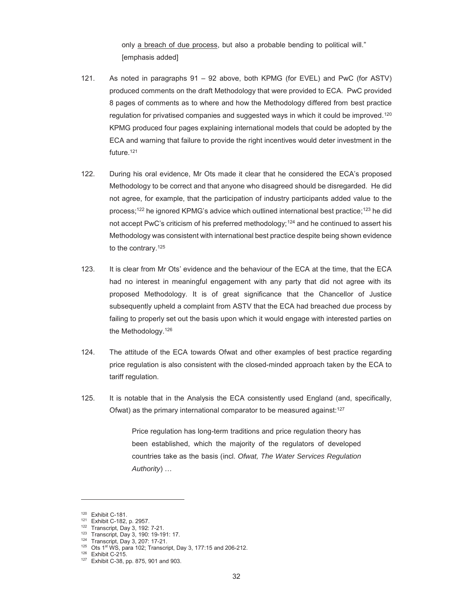only a breach of due process, but also a probable bending to political will." [emphasis added]

- 121. As noted in paragraphs 91 92 above, both KPMG (for EVEL) and PwC (for ASTV) produced comments on the draft Methodology that were provided to ECA. PwC provided 8 pages of comments as to where and how the Methodology differed from best practice regulation for privatised companies and suggested ways in which it could be improved.120 KPMG produced four pages explaining international models that could be adopted by the ECA and warning that failure to provide the right incentives would deter investment in the future.<sup>121</sup>
- 122. During his oral evidence, Mr Ots made it clear that he considered the ECA's proposed Methodology to be correct and that anyone who disagreed should be disregarded. He did not agree, for example, that the participation of industry participants added value to the process;122 he ignored KPMG's advice which outlined international best practice;123 he did not accept PwC's criticism of his preferred methodology;<sup>124</sup> and he continued to assert his Methodology was consistent with international best practice despite being shown evidence to the contrary.<sup>125</sup>
- 123. It is clear from Mr Ots' evidence and the behaviour of the ECA at the time, that the ECA had no interest in meaningful engagement with any party that did not agree with its proposed Methodology. It is of great significance that the Chancellor of Justice subsequently upheld a complaint from ASTV that the ECA had breached due process by failing to properly set out the basis upon which it would engage with interested parties on the Methodology.126
- 124. The attitude of the ECA towards Ofwat and other examples of best practice regarding price regulation is also consistent with the closed-minded approach taken by the ECA to tariff regulation.
- 125. It is notable that in the Analysis the ECA consistently used England (and, specifically, Ofwat) as the primary international comparator to be measured against:<sup>127</sup>

Price regulation has long-term traditions and price regulation theory has been established, which the majority of the regulators of developed countries take as the basis (incl. *Ofwat, The Water Services Regulation Authority*) …

-

<sup>&</sup>lt;sup>120</sup> Exhibit C-181.<br><sup>121</sup> Exhibit C-182, p. 2957.<br><sup>122</sup> Transcript, Day 3, 192: 7-21.<br><sup>123</sup> Transcript, Day 3, 190: 19-191: 17.<br><sup>124</sup> Transcript, Day 3, 207: 17-21.<br><sup>125</sup> Ots 1<sup>st</sup> WS, para 102; Transcript, Day 3, 177:15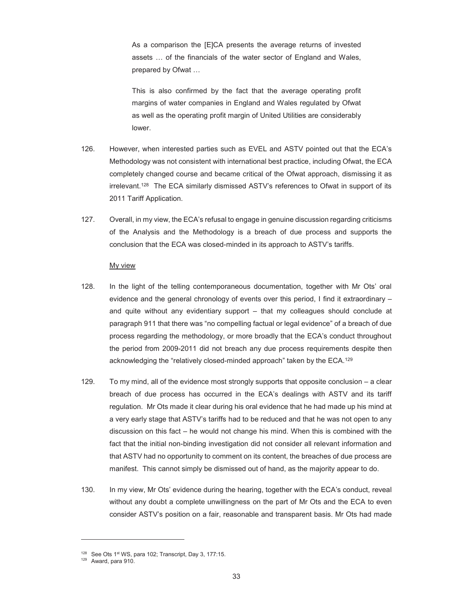As a comparison the [E]CA presents the average returns of invested assets … of the financials of the water sector of England and Wales, prepared by Ofwat …

This is also confirmed by the fact that the average operating profit margins of water companies in England and Wales regulated by Ofwat as well as the operating profit margin of United Utilities are considerably lower.

- 126. However, when interested parties such as EVEL and ASTV pointed out that the ECA's Methodology was not consistent with international best practice, including Ofwat, the ECA completely changed course and became critical of the Ofwat approach, dismissing it as irrelevant.128 The ECA similarly dismissed ASTV's references to Ofwat in support of its 2011 Tariff Application.
- 127. Overall, in my view, the ECA's refusal to engage in genuine discussion regarding criticisms of the Analysis and the Methodology is a breach of due process and supports the conclusion that the ECA was closed-minded in its approach to ASTV's tariffs.

#### My view

- 128. In the light of the telling contemporaneous documentation, together with Mr Ots' oral evidence and the general chronology of events over this period, I find it extraordinary – and quite without any evidentiary support – that my colleagues should conclude at paragraph 911 that there was "no compelling factual or legal evidence" of a breach of due process regarding the methodology, or more broadly that the ECA's conduct throughout the period from 2009-2011 did not breach any due process requirements despite then acknowledging the "relatively closed-minded approach" taken by the ECA.129
- 129. To my mind, all of the evidence most strongly supports that opposite conclusion a clear breach of due process has occurred in the ECA's dealings with ASTV and its tariff regulation. Mr Ots made it clear during his oral evidence that he had made up his mind at a very early stage that ASTV's tariffs had to be reduced and that he was not open to any discussion on this fact – he would not change his mind. When this is combined with the fact that the initial non-binding investigation did not consider all relevant information and that ASTV had no opportunity to comment on its content, the breaches of due process are manifest. This cannot simply be dismissed out of hand, as the majority appear to do.
- 130. In my view, Mr Ots' evidence during the hearing, together with the ECA's conduct, reveal without any doubt a complete unwillingness on the part of Mr Ots and the ECA to even consider ASTV's position on a fair, reasonable and transparent basis. Mr Ots had made

<sup>&</sup>lt;sup>128</sup> See Ots 1<sup>st</sup> WS, para 102; Transcript, Day 3, 177:15.<br><sup>129</sup> Award, para 910.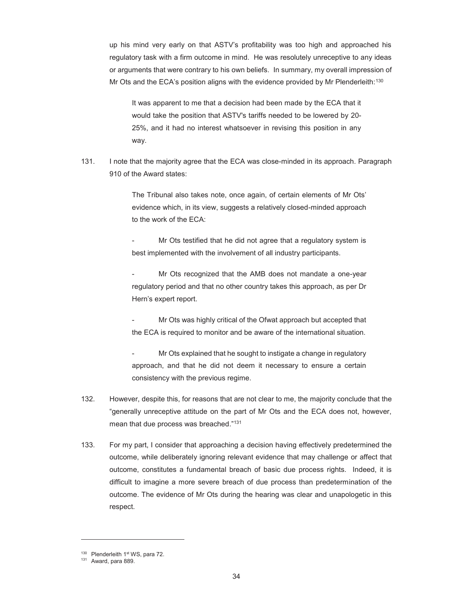up his mind very early on that ASTV's profitability was too high and approached his regulatory task with a firm outcome in mind. He was resolutely unreceptive to any ideas or arguments that were contrary to his own beliefs. In summary, my overall impression of Mr Ots and the ECA's position aligns with the evidence provided by Mr Plenderleith:<sup>130</sup>

It was apparent to me that a decision had been made by the ECA that it would take the position that ASTV's tariffs needed to be lowered by 20- 25%, and it had no interest whatsoever in revising this position in any way.

131. I note that the majority agree that the ECA was close-minded in its approach. Paragraph 910 of the Award states:

> The Tribunal also takes note, once again, of certain elements of Mr Ots' evidence which, in its view, suggests a relatively closed-minded approach to the work of the ECA:

> Mr Ots testified that he did not agree that a regulatory system is best implemented with the involvement of all industry participants.

> Mr Ots recognized that the AMB does not mandate a one-year regulatory period and that no other country takes this approach, as per Dr Hern's expert report.

> Mr Ots was highly critical of the Ofwat approach but accepted that the ECA is required to monitor and be aware of the international situation.

> Mr Ots explained that he sought to instigate a change in regulatory approach, and that he did not deem it necessary to ensure a certain consistency with the previous regime.

- 132. However, despite this, for reasons that are not clear to me, the majority conclude that the "generally unreceptive attitude on the part of Mr Ots and the ECA does not, however, mean that due process was breached."131
- 133. For my part, I consider that approaching a decision having effectively predetermined the outcome, while deliberately ignoring relevant evidence that may challenge or affect that outcome, constitutes a fundamental breach of basic due process rights. Indeed, it is difficult to imagine a more severe breach of due process than predetermination of the outcome. The evidence of Mr Ots during the hearing was clear and unapologetic in this respect.

 $130$  Plenderleith 1st WS, para 72.<br> $131$  Award, para 889.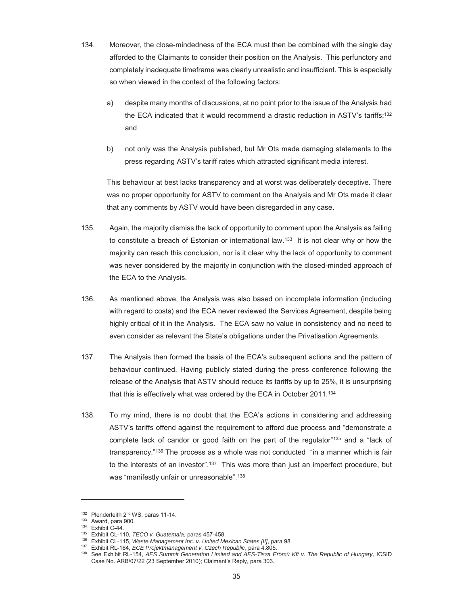- 134. Moreover, the close-mindedness of the ECA must then be combined with the single day afforded to the Claimants to consider their position on the Analysis. This perfunctory and completely inadequate timeframe was clearly unrealistic and insufficient. This is especially so when viewed in the context of the following factors:
	- a) despite many months of discussions, at no point prior to the issue of the Analysis had the ECA indicated that it would recommend a drastic reduction in ASTV's tariffs;132 and
	- b) not only was the Analysis published, but Mr Ots made damaging statements to the press regarding ASTV's tariff rates which attracted significant media interest.

This behaviour at best lacks transparency and at worst was deliberately deceptive. There was no proper opportunity for ASTV to comment on the Analysis and Mr Ots made it clear that any comments by ASTV would have been disregarded in any case.

- 135. Again, the majority dismiss the lack of opportunity to comment upon the Analysis as failing to constitute a breach of Estonian or international law.<sup>133</sup> It is not clear why or how the majority can reach this conclusion, nor is it clear why the lack of opportunity to comment was never considered by the majority in conjunction with the closed-minded approach of the ECA to the Analysis.
- 136. As mentioned above, the Analysis was also based on incomplete information (including with regard to costs) and the ECA never reviewed the Services Agreement, despite being highly critical of it in the Analysis. The ECA saw no value in consistency and no need to even consider as relevant the State's obligations under the Privatisation Agreements.
- 137. The Analysis then formed the basis of the ECA's subsequent actions and the pattern of behaviour continued. Having publicly stated during the press conference following the release of the Analysis that ASTV should reduce its tariffs by up to 25%, it is unsurprising that this is effectively what was ordered by the ECA in October 2011.<sup>134</sup>
- 138. To my mind, there is no doubt that the ECA's actions in considering and addressing ASTV's tariffs offend against the requirement to afford due process and "demonstrate a complete lack of candor or good faith on the part of the regulator"135 and a "lack of transparency."136 The process as a whole was not conducted "in a manner which is fair to the interests of an investor".<sup>137</sup> This was more than just an imperfect procedure, but was "manifestly unfair or unreasonable".<sup>138</sup>

-

<sup>&</sup>lt;sup>132</sup> Plenderleith 2<sup>nd</sup> WS, paras 11-14.<br><sup>133</sup> Award, para 900.<br><sup>135</sup> Exhibit CL-110, *TECO v. Guatemala*, paras 457-458.<br><sup>136</sup> Exhibit CL-115, *Waste Management Inc. v. United Mexican States [II]*, para 98.<br><sup>136</sup> Exhibit Case No. ARB/07/22 (23 September 2010); Claimant's Reply, para 303.